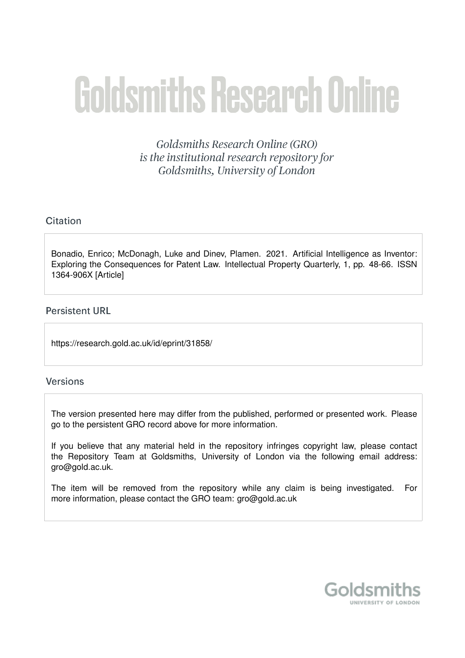# **Goldsmiths Research Online**

Goldsmiths Research Online (GRO) is the institutional research repository for Goldsmiths, University of London

# Citation

Bonadio, Enrico; McDonagh, Luke and Dinev, Plamen. 2021. Artificial Intelligence as Inventor: Exploring the Consequences for Patent Law. Intellectual Property Quarterly, 1, pp. 48-66. ISSN 1364-906X [Article]

# **Persistent URL**

https://research.gold.ac.uk/id/eprint/31858/

# **Versions**

The version presented here may differ from the published, performed or presented work. Please go to the persistent GRO record above for more information.

If you believe that any material held in the repository infringes copyright law, please contact the Repository Team at Goldsmiths, University of London via the following email address: gro@gold.ac.uk.

The item will be removed from the repository while any claim is being investigated. For more information, please contact the GRO team: gro@gold.ac.uk

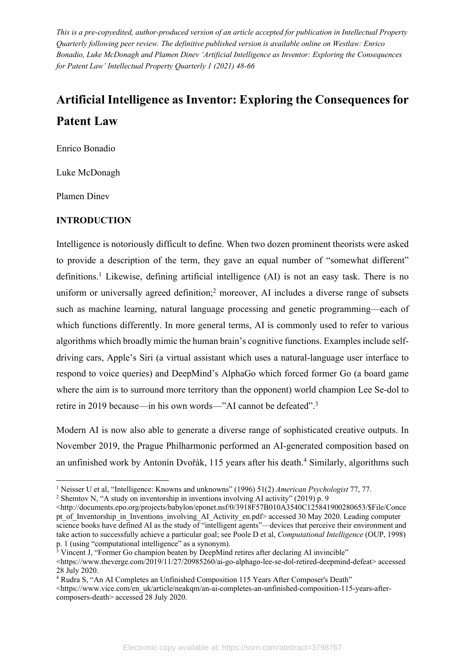*This is a pre-copyedited, author-produced version of an article accepted for publication in Intellectual Property Quarterly following peer review. The definitive published version is available online on Westlaw: Enrico Bonadio, Luke McDonagh and Plamen Dinev 'Artificial Intelligence as Inventor: Exploring the Consequences for Patent Law' Intellectual Property Quarterly 1 (2021) 48-66*

# **Artificial Intelligence as Inventor: Exploring the Consequences for Patent Law**

Enrico Bonadio

Luke McDonagh

Plamen Dinev

# **INTRODUCTION**

Intelligence is notoriously difficult to define. When two dozen prominent theorists were asked to provide a description of the term, they gave an equal number of "somewhat different" definitions.<sup>1</sup> Likewise, defining artificial intelligence (AI) is not an easy task. There is no uniform or universally agreed definition; <sup>2</sup> moreover, AI includes a diverse range of subsets such as machine learning, natural language processing and genetic programming—each of which functions differently. In more general terms, AI is commonly used to refer to various algorithms which broadly mimic the human brain's cognitive functions. Examples include selfdriving cars, Apple's Siri (a virtual assistant which uses a natural-language user interface to respond to voice queries) and DeepMind's AlphaGo which forced former Go (a board game where the aim is to surround more territory than the opponent) world champion Lee Se-dol to retire in 2019 because—in his own words—"AI cannot be defeated".3

Modern AI is now also able to generate a diverse range of sophisticated creative outputs. In November 2019, the Prague Philharmonic performed an AI-generated composition based on an unfinished work by Antonín Dvořák, 115 years after his death.<sup>4</sup> Similarly, algorithms such

<sup>1</sup> Neisser U et al, "Intelligence: Knowns and unknowns" (1996) 51(2) *American Psychologist* 77, 77.

<sup>&</sup>lt;sup>2</sup> Shemtov N, "A study on inventorship in inventions involving AI activity" (2019) p. 9

 $\langle$ http://documents.epo.org/projects/babylon/eponet.nsf/0/3918F57B010A3540C125841900280653/\$File/Conce pt\_of\_Inventorship\_in\_Inventions\_involving\_AI\_Activity\_en.pdf> accessed 30 May 2020. Leading computer science books have defined AI as the study of "intelligent agents"—devices that perceive their environment and take action to successfully achieve a particular goal; see Poole D et al, *Computational Intelligence* (OUP, 1998) p. 1 (using "computational intelligence" as a synonym).

<sup>&</sup>lt;sup>3</sup> Vincent J, "Former Go champion beaten by DeepMind retires after declaring AI invincible"

<sup>&</sup>lt;https://www.theverge.com/2019/11/27/20985260/ai-go-alphago-lee-se-dol-retired-deepmind-defeat> accessed 28 July 2020.

<sup>4</sup> Rudra S, "An AI Completes an Unfinished Composition 115 Years After Composer's Death"

<sup>&</sup>lt;https://www.vice.com/en\_uk/article/neakqm/an-ai-completes-an-unfinished-composition-115-years-aftercomposers-death> accessed 28 July 2020.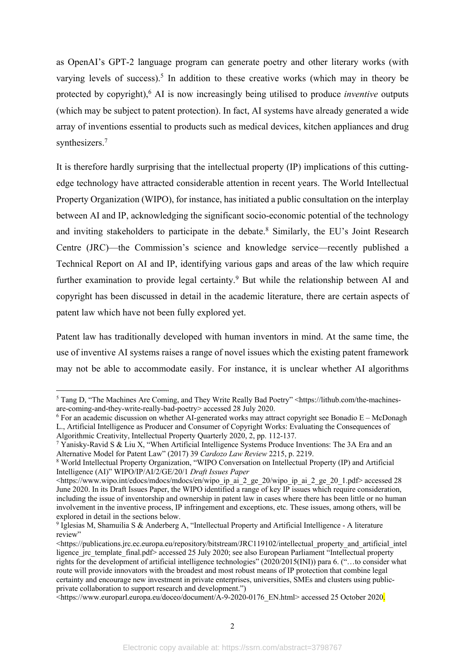as OpenAI's GPT-2 language program can generate poetry and other literary works (with varying levels of success).<sup>5</sup> In addition to these creative works (which may in theory be protected by copyright), <sup>6</sup> AI is now increasingly being utilised to produce *inventive* outputs (which may be subject to patent protection). In fact, AI systems have already generated a wide array of inventions essential to products such as medical devices, kitchen appliances and drug synthesizers.<sup>7</sup>

It is therefore hardly surprising that the intellectual property (IP) implications of this cuttingedge technology have attracted considerable attention in recent years. The World Intellectual Property Organization (WIPO), for instance, has initiated a public consultation on the interplay between AI and IP, acknowledging the significant socio-economic potential of the technology and inviting stakeholders to participate in the debate.<sup>8</sup> Similarly, the EU's Joint Research Centre (JRC)—the Commission's science and knowledge service—recently published a Technical Report on AI and IP, identifying various gaps and areas of the law which require further examination to provide legal certainty.<sup>9</sup> But while the relationship between AI and copyright has been discussed in detail in the academic literature, there are certain aspects of patent law which have not been fully explored yet.

Patent law has traditionally developed with human inventors in mind. At the same time, the use of inventive AI systems raises a range of novel issues which the existing patent framework may not be able to accommodate easily. For instance, it is unclear whether AI algorithms

<sup>&</sup>lt;sup>5</sup> Tang D, "The Machines Are Coming, and They Write Really Bad Poetry" <https://lithub.com/the-machinesare-coming-and-they-write-really-bad-poetry> accessed 28 July 2020.

 $6$  For an academic discussion on whether AI-generated works may attract copyright see Bonadio E – McDonagh L., Artificial Intelligence as Producer and Consumer of Copyright Works: Evaluating the Consequences of

Algorithmic Creativity, Intellectual Property Quarterly 2020, 2, pp. 112-137.

<sup>7</sup> Yanisky-Ravid S & Liu X, "When Artificial Intelligence Systems Produce Inventions: The 3A Era and an Alternative Model for Patent Law" (2017) 39 *Cardozo Law Review* 2215, p. 2219.

<sup>8</sup> World Intellectual Property Organization, "WIPO Conversation on Intellectual Property (IP) and Artificial Intelligence (AI)" WIPO/IP/AI/2/GE/20/1 *Draft Issues Paper* 

<sup>&</sup>lt;https://www.wipo.int/edocs/mdocs/mdocs/en/wipo\_ip\_ai\_2\_ge\_20/wipo\_ip\_ai\_2\_ge\_20\_1.pdf> accessed 28 June 2020. In its Draft Issues Paper, the WIPO identified a range of key IP issues which require consideration, including the issue of inventorship and ownership in patent law in cases where there has been little or no human involvement in the inventive process, IP infringement and exceptions, etc. These issues, among others, will be explored in detail in the sections below.

<sup>9</sup> Iglesias M, Shamuilia S & Anderberg A, "Intellectual Property and Artificial Intelligence - A literature review"

 $\lt$ https://publications.jrc.ec.europa.eu/repository/bitstream/JRC119102/intellectual\_property\_and\_artificial\_intel ligence irc template final.pdf> accessed 25 July 2020; see also European Parliament "Intellectual property rights for the development of artificial intelligence technologies" (2020/2015(INI)) para 6. ("…to consider what route will provide innovators with the broadest and most robust means of IP protection that combine legal certainty and encourage new investment in private enterprises, universities, SMEs and clusters using publicprivate collaboration to support research and development.")

 $\leq$ https://www.europarl.europa.eu/doceo/document/A-9-2020-0176 EN.html> accessed 25 October 2020.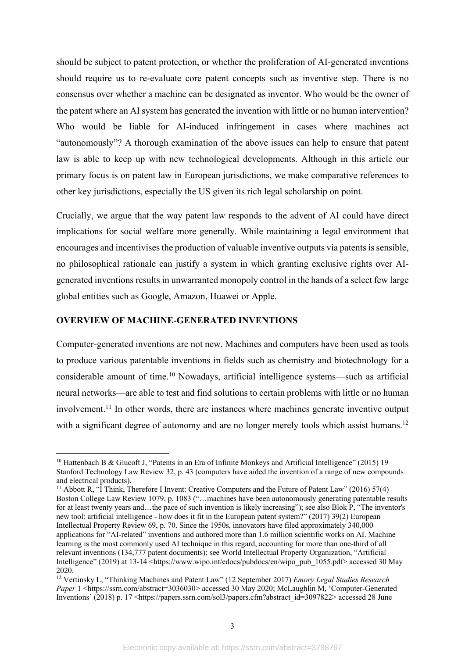should be subject to patent protection, or whether the proliferation of AI-generated inventions should require us to re-evaluate core patent concepts such as inventive step. There is no consensus over whether a machine can be designated as inventor. Who would be the owner of the patent where an AI system has generated the invention with little or no human intervention? Who would be liable for AI-induced infringement in cases where machines act "autonomously"? A thorough examination of the above issues can help to ensure that patent law is able to keep up with new technological developments. Although in this article our primary focus is on patent law in European jurisdictions, we make comparative references to other key jurisdictions, especially the US given its rich legal scholarship on point.

Crucially, we argue that the way patent law responds to the advent of AI could have direct implications for social welfare more generally. While maintaining a legal environment that encourages and incentivises the production of valuable inventive outputs via patents is sensible, no philosophical rationale can justify a system in which granting exclusive rights over AIgenerated inventions results in unwarranted monopoly control in the hands of a select few large global entities such as Google, Amazon, Huawei or Apple.

### **OVERVIEW OF MACHINE-GENERATED INVENTIONS**

Computer-generated inventions are not new. Machines and computers have been used as tools to produce various patentable inventions in fields such as chemistry and biotechnology for a considerable amount of time.10 Nowadays, artificial intelligence systems—such as artificial neural networks—are able to test and find solutions to certain problems with little or no human involvement.11 In other words, there are instances where machines generate inventive output with a significant degree of autonomy and are no longer merely tools which assist humans.<sup>12</sup>

<sup>&</sup>lt;sup>10</sup> Hattenbach B & Glucoft J, "Patents in an Era of Infinite Monkeys and Artificial Intelligence" (2015) 19 Stanford Technology Law Review 32, p. 43 (computers have aided the invention of a range of new compounds and electrical products).

<sup>11</sup> Abbott R, "I Think, Therefore I Invent: Creative Computers and the Future of Patent Law" (2016) 57(4) Boston College Law Review 1079, p. 1083 ("…machines have been autonomously generating patentable results for at least twenty years and…the pace of such invention is likely increasing"); see also Blok P, "The inventor's new tool: artificial intelligence - how does it fit in the European patent system?" (2017) 39(2) European Intellectual Property Review 69, p. 70. Since the 1950s, innovators have filed approximately 340,000 applications for "AI-related" inventions and authored more than 1.6 million scientific works on AI. Machine learning is the most commonly used AI technique in this regard, accounting for more than one-third of all relevant inventions (134,777 patent documents); see World Intellectual Property Organization, "Artificial Intelligence" (2019) at 13-14 <https://www.wipo.int/edocs/pubdocs/en/wipo\_pub\_1055.pdf> accessed 30 May 2020.

<sup>12</sup> Vertinsky L, "Thinking Machines and Patent Law" (12 September 2017) *Emory Legal Studies Research*  Paper 1 <https://ssrn.com/abstract=3036030> accessed 30 May 2020; McLaughlin M, 'Computer-Generated Inventions' (2018) p. 17 <https://papers.ssrn.com/sol3/papers.cfm?abstract\_id=3097822> accessed 28 June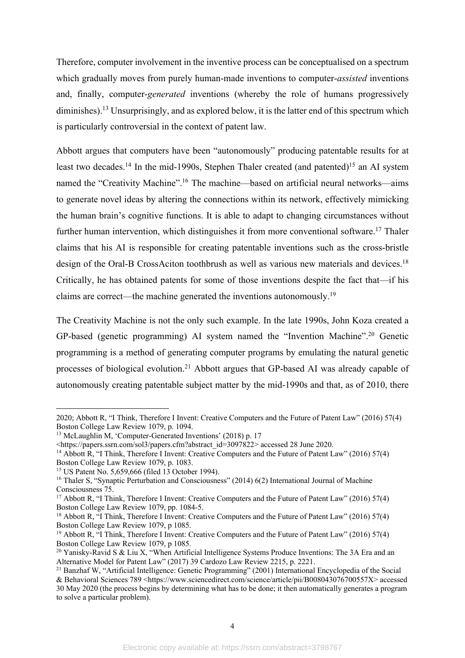Therefore, computer involvement in the inventive process can be conceptualised on a spectrum which gradually moves from purely human-made inventions to computer-*assisted* inventions and, finally, computer-*generated* inventions (whereby the role of humans progressively diminishes).<sup>13</sup> Unsurprisingly, and as explored below, it is the latter end of this spectrum which is particularly controversial in the context of patent law.

Abbott argues that computers have been "autonomously" producing patentable results for at least two decades.<sup>14</sup> In the mid-1990s, Stephen Thaler created (and patented)<sup>15</sup> an AI system named the "Creativity Machine".<sup>16</sup> The machine—based on artificial neural networks—aims to generate novel ideas by altering the connections within its network, effectively mimicking the human brain's cognitive functions. It is able to adapt to changing circumstances without further human intervention, which distinguishes it from more conventional software.<sup>17</sup> Thaler claims that his AI is responsible for creating patentable inventions such as the cross-bristle design of the Oral-B CrossAciton toothbrush as well as various new materials and devices.<sup>18</sup> Critically, he has obtained patents for some of those inventions despite the fact that—if his claims are correct—the machine generated the inventions autonomously.<sup>19</sup>

The Creativity Machine is not the only such example. In the late 1990s, John Koza created a GP-based (genetic programming) AI system named the "Invention Machine".20 Genetic programming is a method of generating computer programs by emulating the natural genetic processes of biological evolution.21 Abbott argues that GP-based AI was already capable of autonomously creating patentable subject matter by the mid-1990s and that, as of 2010, there

<sup>2020;</sup> Abbott R, "I Think, Therefore I Invent: Creative Computers and the Future of Patent Law" (2016) 57(4) Boston College Law Review 1079, p. 1094.

<sup>&</sup>lt;sup>13</sup> McLaughlin M, 'Computer-Generated Inventions' (2018) p. 17

<sup>&</sup>lt;https://papers.ssrn.com/sol3/papers.cfm?abstract\_id=3097822> accessed 28 June 2020.

<sup>&</sup>lt;sup>14</sup> Abbott R, "I Think, Therefore I Invent: Creative Computers and the Future of Patent Law" (2016) 57(4) Boston College Law Review 1079, p. 1083.

<sup>&</sup>lt;sup>15</sup> US Patent No. 5,659,666 (filed 13 October 1994).

<sup>&</sup>lt;sup>16</sup> Thaler S, "Synaptic Perturbation and Consciousness" (2014) 6(2) International Journal of Machine Consciousness 75.

<sup>&</sup>lt;sup>17</sup> Abbott R, "I Think, Therefore I Invent: Creative Computers and the Future of Patent Law" (2016) 57(4) Boston College Law Review 1079, pp. 1084-5.

<sup>18</sup> Abbott R, "I Think, Therefore I Invent: Creative Computers and the Future of Patent Law" (2016) 57(4) Boston College Law Review 1079, p 1085.

<sup>&</sup>lt;sup>19</sup> Abbott R, "I Think, Therefore I Invent: Creative Computers and the Future of Patent Law" (2016) 57(4) Boston College Law Review 1079, p 1085.

<sup>&</sup>lt;sup>20</sup> Yanisky-Ravid S & Liu X, "When Artificial Intelligence Systems Produce Inventions: The 3A Era and an Alternative Model for Patent Law" (2017) 39 Cardozo Law Review 2215, p. 2221.

<sup>&</sup>lt;sup>21</sup> Banzhaf W, "Artificial Intelligence: Genetic Programming" (2001) International Encyclopedia of the Social & Behavioral Sciences 789 <https://www.sciencedirect.com/science/article/pii/B008043076700557X> accessed 30 May 2020 (the process begins by determining what has to be done; it then automatically generates a program to solve a particular problem).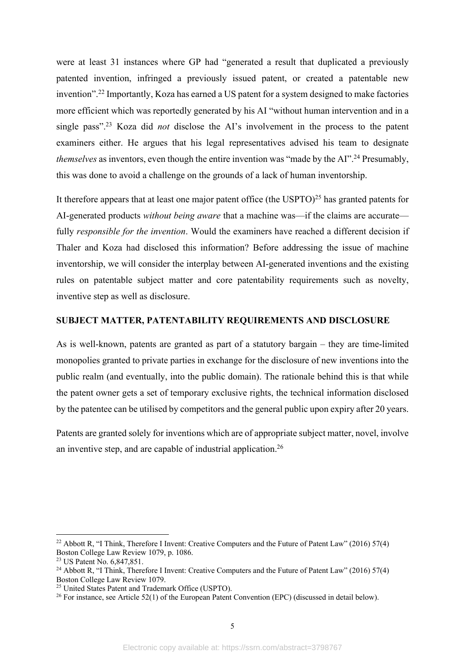were at least 31 instances where GP had "generated a result that duplicated a previously patented invention, infringed a previously issued patent, or created a patentable new invention".22 Importantly, Koza has earned a US patent for a system designed to make factories more efficient which was reportedly generated by his AI "without human intervention and in a single pass".23 Koza did *not* disclose the AI's involvement in the process to the patent examiners either. He argues that his legal representatives advised his team to designate *themselves* as inventors, even though the entire invention was "made by the AI".<sup>24</sup> Presumably, this was done to avoid a challenge on the grounds of a lack of human inventorship.

It therefore appears that at least one major patent office (the USPTO)<sup>25</sup> has granted patents for AI-generated products *without being aware* that a machine was—if the claims are accurate fully *responsible for the invention*. Would the examiners have reached a different decision if Thaler and Koza had disclosed this information? Before addressing the issue of machine inventorship, we will consider the interplay between AI-generated inventions and the existing rules on patentable subject matter and core patentability requirements such as novelty, inventive step as well as disclosure.

### **SUBJECT MATTER, PATENTABILITY REQUIREMENTS AND DISCLOSURE**

As is well-known, patents are granted as part of a statutory bargain – they are time-limited monopolies granted to private parties in exchange for the disclosure of new inventions into the public realm (and eventually, into the public domain). The rationale behind this is that while the patent owner gets a set of temporary exclusive rights, the technical information disclosed by the patentee can be utilised by competitors and the general public upon expiry after 20 years.

Patents are granted solely for inventions which are of appropriate subject matter, novel, involve an inventive step, and are capable of industrial application.26

<sup>&</sup>lt;sup>22</sup> Abbott R, "I Think, Therefore I Invent: Creative Computers and the Future of Patent Law" (2016) 57(4) Boston College Law Review 1079, p. 1086.

<sup>&</sup>lt;sup>23</sup> US Patent No. 6,847,851.

<sup>&</sup>lt;sup>24</sup> Abbott R, "I Think, Therefore I Invent: Creative Computers and the Future of Patent Law" (2016) 57(4) Boston College Law Review 1079.

<sup>25</sup> United States Patent and Trademark Office (USPTO).

<sup>&</sup>lt;sup>26</sup> For instance, see Article 52(1) of the European Patent Convention (EPC) (discussed in detail below).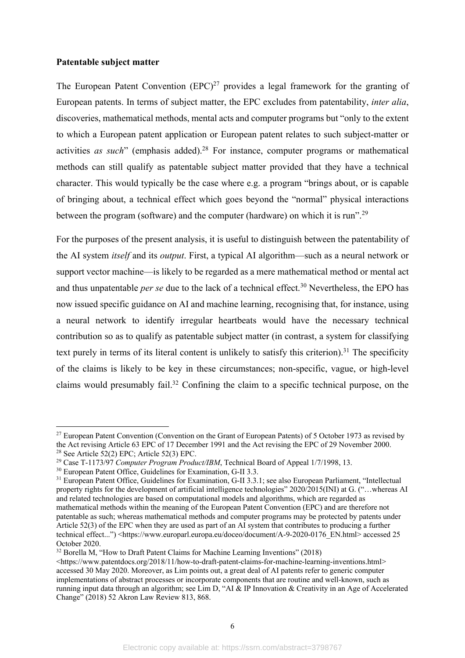#### **Patentable subject matter**

The European Patent Convention  $(EPC)^{27}$  provides a legal framework for the granting of European patents. In terms of subject matter, the EPC excludes from patentability, *inter alia*, discoveries, mathematical methods, mental acts and computer programs but "only to the extent to which a European patent application or European patent relates to such subject-matter or activities *as such*" (emphasis added).<sup>28</sup> For instance, computer programs or mathematical methods can still qualify as patentable subject matter provided that they have a technical character. This would typically be the case where e.g. a program "brings about, or is capable of bringing about, a technical effect which goes beyond the "normal" physical interactions between the program (software) and the computer (hardware) on which it is run".<sup>29</sup>

For the purposes of the present analysis, it is useful to distinguish between the patentability of the AI system *itself* and its *output*. First, a typical AI algorithm—such as a neural network or support vector machine—is likely to be regarded as a mere mathematical method or mental act and thus unpatentable *per se* due to the lack of a technical effect. <sup>30</sup> Nevertheless, the EPO has now issued specific guidance on AI and machine learning, recognising that, for instance, using a neural network to identify irregular heartbeats would have the necessary technical contribution so as to qualify as patentable subject matter (in contrast, a system for classifying text purely in terms of its literal content is unlikely to satisfy this criterion).<sup>31</sup> The specificity of the claims is likely to be key in these circumstances; non-specific, vague, or high-level claims would presumably fail.32 Confining the claim to a specific technical purpose, on the

<sup>&</sup>lt;sup>27</sup> European Patent Convention (Convention on the Grant of European Patents) of 5 October 1973 as revised by the Act revising Article 63 EPC of 17 December 1991 and the Act revising the EPC of 29 November 2000. 28 See Article 52(2) EPC; Article 52(3) EPC.

<sup>29</sup> Case T-1173/97 *Computer Program Product/IBM*, Technical Board of Appeal 1/7/1998, 13.

<sup>30</sup> European Patent Office, Guidelines for Examination, G-II 3.3.

<sup>31</sup> European Patent Office, Guidelines for Examination, G-II 3.3.1; see also European Parliament, "Intellectual property rights for the development of artificial intelligence technologies" 2020/2015(INI) at G. ("…whereas AI and related technologies are based on computational models and algorithms, which are regarded as mathematical methods within the meaning of the European Patent Convention (EPC) and are therefore not patentable as such; whereas mathematical methods and computer programs may be protected by patents under Article 52(3) of the EPC when they are used as part of an AI system that contributes to producing a further technical effect...") <https://www.europarl.europa.eu/doceo/document/A-9-2020-0176\_EN.html> accessed 25 October 2020.

<sup>&</sup>lt;sup>32</sup> Borella M, "How to Draft Patent Claims for Machine Learning Inventions" (2018)

<sup>&</sup>lt;https://www.patentdocs.org/2018/11/how-to-draft-patent-claims-for-machine-learning-inventions.html> accessed 30 May 2020. Moreover, as Lim points out, a great deal of AI patents refer to generic computer implementations of abstract processes or incorporate components that are routine and well-known, such as running input data through an algorithm; see Lim D, "AI & IP Innovation & Creativity in an Age of Accelerated Change" (2018) 52 Akron Law Review 813, 868.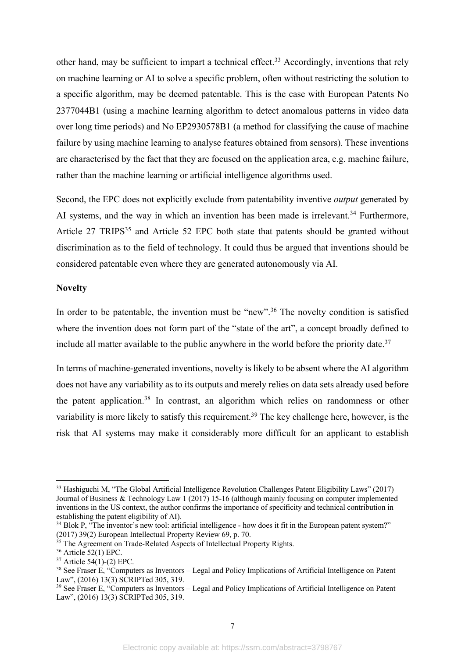other hand, may be sufficient to impart a technical effect.<sup>33</sup> Accordingly, inventions that rely on machine learning or AI to solve a specific problem, often without restricting the solution to a specific algorithm, may be deemed patentable. This is the case with European Patents No 2377044B1 (using a machine learning algorithm to detect anomalous patterns in video data over long time periods) and No EP2930578B1 (a method for classifying the cause of machine failure by using machine learning to analyse features obtained from sensors). These inventions are characterised by the fact that they are focused on the application area, e.g. machine failure, rather than the machine learning or artificial intelligence algorithms used.

Second, the EPC does not explicitly exclude from patentability inventive *output* generated by AI systems, and the way in which an invention has been made is irrelevant.<sup>34</sup> Furthermore, Article 27 TRIPS<sup>35</sup> and Article 52 EPC both state that patents should be granted without discrimination as to the field of technology. It could thus be argued that inventions should be considered patentable even where they are generated autonomously via AI.

#### **Novelty**

In order to be patentable, the invention must be "new".<sup>36</sup> The novelty condition is satisfied where the invention does not form part of the "state of the art", a concept broadly defined to include all matter available to the public anywhere in the world before the priority date.<sup>37</sup>

In terms of machine-generated inventions, novelty is likely to be absent where the AI algorithm does not have any variability as to its outputs and merely relies on data sets already used before the patent application.38 In contrast, an algorithm which relies on randomness or other variability is more likely to satisfy this requirement.<sup>39</sup> The key challenge here, however, is the risk that AI systems may make it considerably more difficult for an applicant to establish

<sup>33</sup> Hashiguchi M, "The Global Artificial Intelligence Revolution Challenges Patent Eligibility Laws" (2017) Journal of Business & Technology Law 1 (2017) 15-16 (although mainly focusing on computer implemented inventions in the US context, the author confirms the importance of specificity and technical contribution in establishing the patent eligibility of AI).

<sup>&</sup>lt;sup>34</sup> Blok P, "The inventor's new tool: artificial intelligence - how does it fit in the European patent system?" (2017) 39(2) European Intellectual Property Review 69, p. 70.

<sup>&</sup>lt;sup>35</sup> The Agreement on Trade-Related Aspects of Intellectual Property Rights.

<sup>36</sup> Article 52(1) EPC.

 $37$  Article  $54(1)$ -(2) EPC.

<sup>&</sup>lt;sup>38</sup> See Fraser E, "Computers as Inventors – Legal and Policy Implications of Artificial Intelligence on Patent Law", (2016) 13(3) SCRIPTed 305, 319.

<sup>&</sup>lt;sup>39</sup> See Fraser E, "Computers as Inventors - Legal and Policy Implications of Artificial Intelligence on Patent Law", (2016) 13(3) SCRIPTed 305, 319.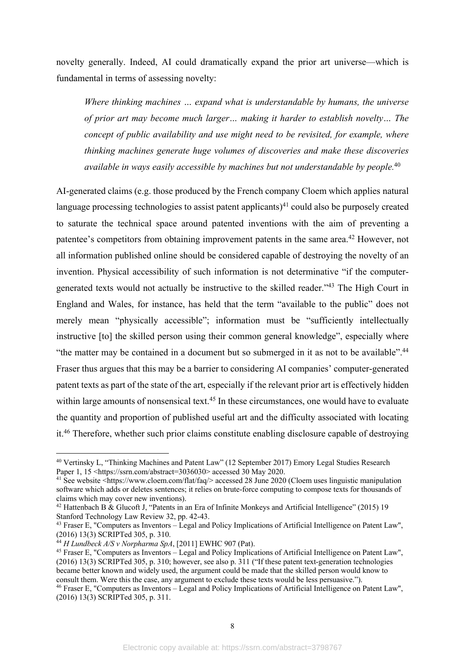novelty generally. Indeed, AI could dramatically expand the prior art universe—which is fundamental in terms of assessing novelty:

*Where thinking machines … expand what is understandable by humans, the universe of prior art may become much larger… making it harder to establish novelty… The concept of public availability and use might need to be revisited, for example, where thinking machines generate huge volumes of discoveries and make these discoveries available in ways easily accessible by machines but not understandable by people.*<sup>40</sup>

AI-generated claims (e.g. those produced by the French company Cloem which applies natural language processing technologies to assist patent applicants)<sup>41</sup> could also be purposely created to saturate the technical space around patented inventions with the aim of preventing a patentee's competitors from obtaining improvement patents in the same area.<sup>42</sup> However, not all information published online should be considered capable of destroying the novelty of an invention. Physical accessibility of such information is not determinative "if the computergenerated texts would not actually be instructive to the skilled reader."43 The High Court in England and Wales, for instance, has held that the term "available to the public" does not merely mean "physically accessible"; information must be "sufficiently intellectually instructive [to] the skilled person using their common general knowledge", especially where "the matter may be contained in a document but so submerged in it as not to be available".<sup>44</sup> Fraser thus argues that this may be a barrier to considering AI companies' computer-generated patent texts as part of the state of the art, especially if the relevant prior art is effectively hidden within large amounts of nonsensical text.<sup>45</sup> In these circumstances, one would have to evaluate the quantity and proportion of published useful art and the difficulty associated with locating it.46 Therefore, whether such prior claims constitute enabling disclosure capable of destroying

<sup>40</sup> Vertinsky L, "Thinking Machines and Patent Law" (12 September 2017) Emory Legal Studies Research Paper 1, 15 <https://ssrn.com/abstract=3036030> accessed 30 May 2020.

<sup>&</sup>lt;sup>41</sup> See website <https://www.cloem.com/flat/faq/> accessed 28 June 2020 (Cloem uses linguistic manipulation software which adds or deletes sentences; it relies on brute-force computing to compose texts for thousands of claims which may cover new inventions).

<sup>42</sup> Hattenbach B & Glucoft J, "Patents in an Era of Infinite Monkeys and Artificial Intelligence" (2015) 19 Stanford Technology Law Review 32, pp. 42-43.

<sup>43</sup> Fraser E, "Computers as Inventors – Legal and Policy Implications of Artificial Intelligence on Patent Law", (2016) 13(3) SCRIPTed 305, p. 310. <sup>44</sup> *H Lundbeck A/S v Norpharma SpA*, [2011] EWHC 907 (Pat).

<sup>&</sup>lt;sup>45</sup> Fraser E, "Computers as Inventors – Legal and Policy Implications of Artificial Intelligence on Patent Law". (2016) 13(3) SCRIPTed 305, p. 310; however, see also p. 311 ("If these patent text-generation technologies became better known and widely used, the argument could be made that the skilled person would know to consult them. Were this the case, any argument to exclude these texts would be less persuasive."). <sup>46</sup> Fraser E, "Computers as Inventors – Legal and Policy Implications of Artificial Intelligence on Patent Law",

<sup>(2016) 13(3)</sup> SCRIPTed 305, p. 311.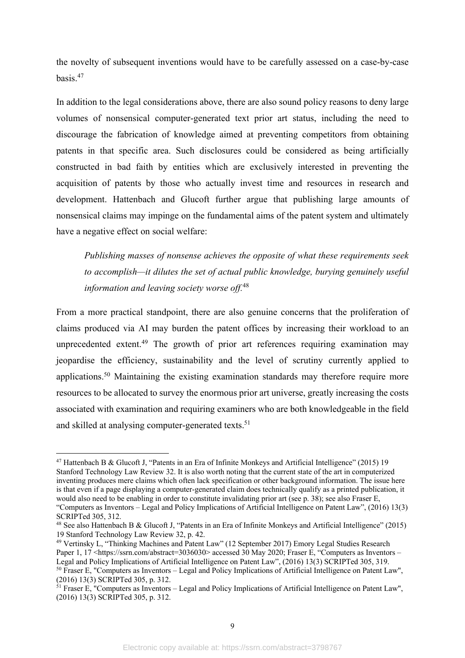the novelty of subsequent inventions would have to be carefully assessed on a case-by-case basis.47

In addition to the legal considerations above, there are also sound policy reasons to deny large volumes of nonsensical computer-generated text prior art status, including the need to discourage the fabrication of knowledge aimed at preventing competitors from obtaining patents in that specific area. Such disclosures could be considered as being artificially constructed in bad faith by entities which are exclusively interested in preventing the acquisition of patents by those who actually invest time and resources in research and development. Hattenbach and Glucoft further argue that publishing large amounts of nonsensical claims may impinge on the fundamental aims of the patent system and ultimately have a negative effect on social welfare:

*Publishing masses of nonsense achieves the opposite of what these requirements seek to accomplish—it dilutes the set of actual public knowledge, burying genuinely useful information and leaving society worse off.*<sup>48</sup>

From a more practical standpoint, there are also genuine concerns that the proliferation of claims produced via AI may burden the patent offices by increasing their workload to an unprecedented extent.<sup>49</sup> The growth of prior art references requiring examination may jeopardise the efficiency, sustainability and the level of scrutiny currently applied to applications.50 Maintaining the existing examination standards may therefore require more resources to be allocated to survey the enormous prior art universe, greatly increasing the costs associated with examination and requiring examiners who are both knowledgeable in the field and skilled at analysing computer-generated texts.<sup>51</sup>

<sup>47</sup> Hattenbach B & Glucoft J, "Patents in an Era of Infinite Monkeys and Artificial Intelligence" (2015) 19 Stanford Technology Law Review 32. It is also worth noting that the current state of the art in computerized inventing produces mere claims which often lack specification or other background information. The issue here is that even if a page displaying a computer-generated claim does technically qualify as a printed publication, it would also need to be enabling in order to constitute invalidating prior art (see p. 38); see also Fraser E, "Computers as Inventors – Legal and Policy Implications of Artificial Intelligence on Patent Law", (2016) 13(3) SCRIPTed 305, 312.

<sup>48</sup> See also Hattenbach B & Glucoft J, "Patents in an Era of Infinite Monkeys and Artificial Intelligence" (2015) 19 Stanford Technology Law Review 32, p. 42.

<sup>49</sup> Vertinsky L, "Thinking Machines and Patent Law" (12 September 2017) Emory Legal Studies Research Paper 1, 17 <https://ssrn.com/abstract=3036030> accessed 30 May 2020; Fraser E, "Computers as Inventors – Legal and Policy Implications of Artificial Intelligence on Patent Law", (2016) 13(3) SCRIPTed 305, 319.

<sup>50</sup> Fraser E, "Computers as Inventors – Legal and Policy Implications of Artificial Intelligence on Patent Law", (2016) 13(3) SCRIPTed 305, p. 312.

 $51$  Fraser E, "Computers as Inventors – Legal and Policy Implications of Artificial Intelligence on Patent Law", (2016) 13(3) SCRIPTed 305, p. 312.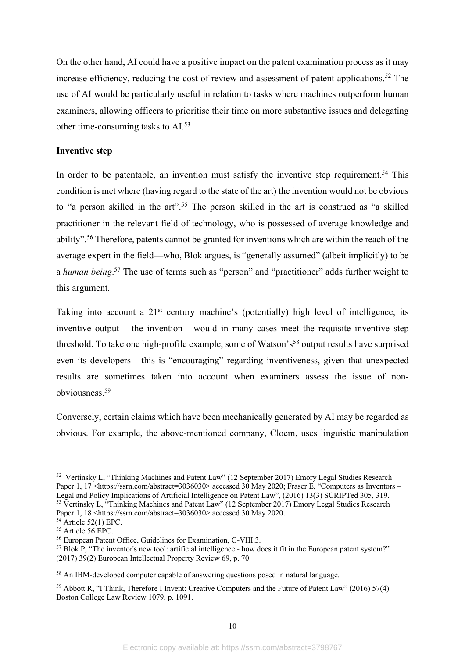On the other hand, AI could have a positive impact on the patent examination process as it may increase efficiency, reducing the cost of review and assessment of patent applications. <sup>52</sup> The use of AI would be particularly useful in relation to tasks where machines outperform human examiners, allowing officers to prioritise their time on more substantive issues and delegating other time-consuming tasks to AI.53

#### **Inventive step**

In order to be patentable, an invention must satisfy the inventive step requirement.<sup>54</sup> This condition is met where (having regard to the state of the art) the invention would not be obvious to "a person skilled in the art".<sup>55</sup> The person skilled in the art is construed as "a skilled practitioner in the relevant field of technology, who is possessed of average knowledge and ability".<sup>56</sup> Therefore, patents cannot be granted for inventions which are within the reach of the average expert in the field—who, Blok argues, is "generally assumed" (albeit implicitly) to be a *human being*. <sup>57</sup> The use of terms such as "person" and "practitioner" adds further weight to this argument.

Taking into account a  $21<sup>st</sup>$  century machine's (potentially) high level of intelligence, its inventive output – the invention - would in many cases meet the requisite inventive step threshold. To take one high-profile example, some of Watson's<sup>58</sup> output results have surprised even its developers - this is "encouraging" regarding inventiveness, given that unexpected results are sometimes taken into account when examiners assess the issue of nonobviousness. 59

Conversely, certain claims which have been mechanically generated by AI may be regarded as obvious. For example, the above-mentioned company, Cloem, uses linguistic manipulation

<sup>52</sup> Vertinsky L, "Thinking Machines and Patent Law" (12 September 2017) Emory Legal Studies Research Paper 1, 17 <https://ssrn.com/abstract=3036030> accessed 30 May 2020; Fraser E, "Computers as Inventors – Legal and Policy Implications of Artificial Intelligence on Patent Law", (2016) 13(3) SCRIPTed 305, 319. <sup>53</sup> Vertinsky L, "Thinking Machines and Patent Law" (12 September 2017) Emory Legal Studies Research Paper 1, 18 <https://ssrn.com/abstract=3036030> accessed 30 May 2020.

 $54$  Article 52(1) EPC.

<sup>&</sup>lt;sup>55</sup> Article 56 EPC.

<sup>56</sup> European Patent Office, Guidelines for Examination, G-VIII.3.

<sup>&</sup>lt;sup>57</sup> Blok P, "The inventor's new tool: artificial intelligence - how does it fit in the European patent system?" (2017) 39(2) European Intellectual Property Review 69, p. 70.

<sup>&</sup>lt;sup>58</sup> An IBM-developed computer capable of answering questions posed in natural language.

<sup>59</sup> Abbott R, "I Think, Therefore I Invent: Creative Computers and the Future of Patent Law" (2016) 57(4) Boston College Law Review 1079, p. 1091.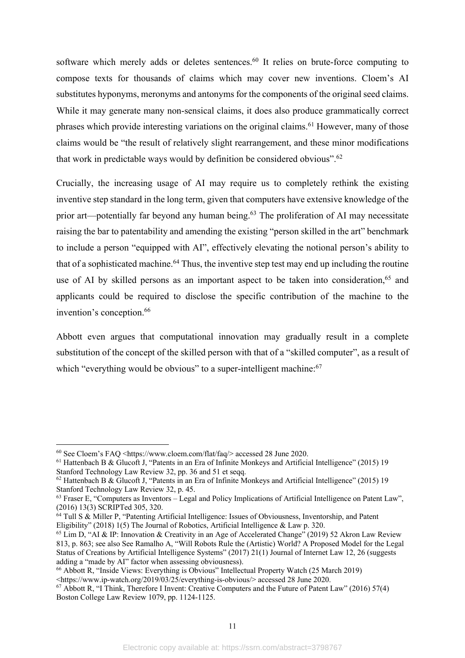software which merely adds or deletes sentences.<sup>60</sup> It relies on brute-force computing to compose texts for thousands of claims which may cover new inventions. Cloem's AI substitutes hyponyms, meronyms and antonyms for the components of the original seed claims. While it may generate many non-sensical claims, it does also produce grammatically correct phrases which provide interesting variations on the original claims.<sup>61</sup> However, many of those claims would be "the result of relatively slight rearrangement, and these minor modifications that work in predictable ways would by definition be considered obvious".<sup>62</sup>

Crucially, the increasing usage of AI may require us to completely rethink the existing inventive step standard in the long term, given that computers have extensive knowledge of the prior art—potentially far beyond any human being.<sup>63</sup> The proliferation of AI may necessitate raising the bar to patentability and amending the existing "person skilled in the art" benchmark to include a person "equipped with AI", effectively elevating the notional person's ability to that of a sophisticated machine. <sup>64</sup> Thus, the inventive step test may end up including the routine use of AI by skilled persons as an important aspect to be taken into consideration,<sup>65</sup> and applicants could be required to disclose the specific contribution of the machine to the invention's conception. 66

Abbott even argues that computational innovation may gradually result in a complete substitution of the concept of the skilled person with that of a "skilled computer", as a result of which "everything would be obvious" to a super-intelligent machine: 67

<sup>60</sup> See Cloem's FAQ <https://www.cloem.com/flat/faq/> accessed 28 June 2020.

<sup>61</sup> Hattenbach B & Glucoft J, "Patents in an Era of Infinite Monkeys and Artificial Intelligence" (2015) 19 Stanford Technology Law Review 32, pp. 36 and 51 et seqq.

<sup>62</sup> Hattenbach B & Glucoft J, "Patents in an Era of Infinite Monkeys and Artificial Intelligence" (2015) 19 Stanford Technology Law Review 32, p. 45.

<sup>63</sup> Fraser E, "Computers as Inventors – Legal and Policy Implications of Artificial Intelligence on Patent Law", (2016) 13(3) SCRIPTed 305, 320.

<sup>&</sup>lt;sup>64</sup> Tull S & Miller P, "Patenting Artificial Intelligence: Issues of Obviousness, Inventorship, and Patent Eligibility" (2018) 1(5) The Journal of Robotics, Artificial Intelligence & Law p. 320.

 $^{65}$  Lim D, "AI & IP: Innovation & Creativity in an Age of Accelerated Change" (2019) 52 Akron Law Review 813, p. 863; see also See Ramalho A, "Will Robots Rule the (Artistic) World? A Proposed Model for the Legal Status of Creations by Artificial Intelligence Systems" (2017) 21(1) Journal of Internet Law 12, 26 (suggests adding a "made by AI" factor when assessing obviousness).

<sup>66</sup> Abbott R, "Inside Views: Everything is Obvious" Intellectual Property Watch (25 March 2019) <https://www.ip-watch.org/2019/03/25/everything-is-obvious/> accessed 28 June 2020.

<sup>67</sup> Abbott R, "I Think, Therefore I Invent: Creative Computers and the Future of Patent Law" (2016) 57(4) Boston College Law Review 1079, pp. 1124-1125.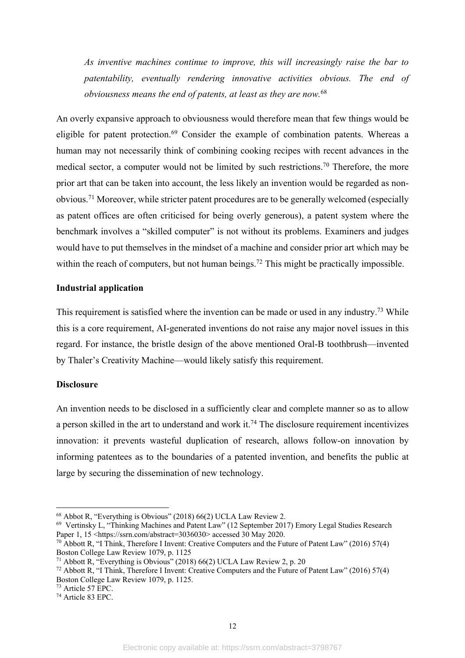*As inventive machines continue to improve, this will increasingly raise the bar to patentability, eventually rendering innovative activities obvious. The end of obviousness means the end of patents, at least as they are now.*<sup>68</sup>

An overly expansive approach to obviousness would therefore mean that few things would be eligible for patent protection.69 Consider the example of combination patents. Whereas a human may not necessarily think of combining cooking recipes with recent advances in the medical sector, a computer would not be limited by such restrictions.<sup>70</sup> Therefore, the more prior art that can be taken into account, the less likely an invention would be regarded as nonobvious.71 Moreover, while stricter patent procedures are to be generally welcomed (especially as patent offices are often criticised for being overly generous), a patent system where the benchmark involves a "skilled computer" is not without its problems. Examiners and judges would have to put themselves in the mindset of a machine and consider prior art which may be within the reach of computers, but not human beings.<sup>72</sup> This might be practically impossible.

# **Industrial application**

This requirement is satisfied where the invention can be made or used in any industry.<sup>73</sup> While this is a core requirement, AI-generated inventions do not raise any major novel issues in this regard. For instance, the bristle design of the above mentioned Oral-B toothbrush—invented by Thaler's Creativity Machine—would likely satisfy this requirement.

#### **Disclosure**

An invention needs to be disclosed in a sufficiently clear and complete manner so as to allow a person skilled in the art to understand and work it.<sup>74</sup> The disclosure requirement incentivizes innovation: it prevents wasteful duplication of research, allows follow-on innovation by informing patentees as to the boundaries of a patented invention, and benefits the public at large by securing the dissemination of new technology.

<sup>&</sup>lt;sup>68</sup> Abbot R, "Everything is Obvious" (2018) 66(2) UCLA Law Review 2.<br><sup>69</sup> Vertinsky L, "Thinking Machines and Patent Law" (12 September 2017) Emory Legal Studies Research Paper 1,  $15 \leq h(t)$  ssrn.com/abstract=3036030> accessed 30 May 2020.

<sup>&</sup>lt;sup>70</sup> Abbott R, "I Think, Therefore I Invent: Creative Computers and the Future of Patent Law" (2016) 57(4) Boston College Law Review 1079, p. 1125

<sup>&</sup>lt;sup>71</sup> Abbott R, "Everything is Obvious" (2018) 66(2) UCLA Law Review 2, p. 20

 $72$  Abbott R, "I Think, Therefore I Invent: Creative Computers and the Future of Patent Law" (2016) 57(4) Boston College Law Review 1079, p. 1125.

<sup>73</sup> Article 57 EPC.

<sup>74</sup> Article 83 EPC.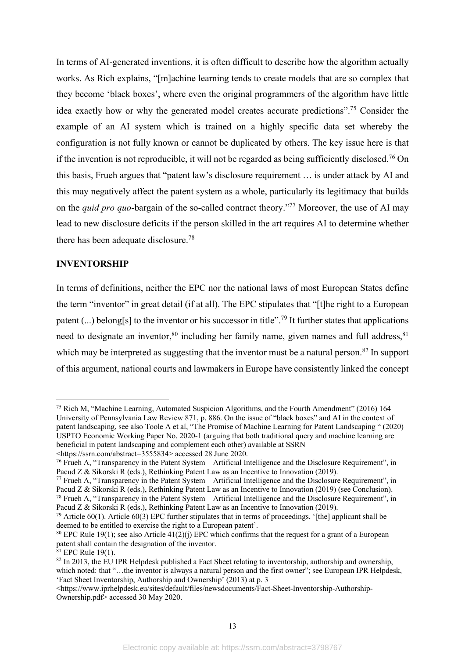In terms of AI-generated inventions, it is often difficult to describe how the algorithm actually works. As Rich explains, "[m]achine learning tends to create models that are so complex that they become 'black boxes', where even the original programmers of the algorithm have little idea exactly how or why the generated model creates accurate predictions".75 Consider the example of an AI system which is trained on a highly specific data set whereby the configuration is not fully known or cannot be duplicated by others. The key issue here is that if the invention is not reproducible, it will not be regarded as being sufficiently disclosed.<sup>76</sup> On this basis, Frueh argues that "patent law's disclosure requirement … is under attack by AI and this may negatively affect the patent system as a whole, particularly its legitimacy that builds on the *quid pro quo*-bargain of the so-called contract theory."77 Moreover, the use of AI may lead to new disclosure deficits if the person skilled in the art requires AI to determine whether there has been adequate disclosure.78

# **INVENTORSHIP**

In terms of definitions, neither the EPC nor the national laws of most European States define the term "inventor" in great detail (if at all). The EPC stipulates that "[t]he right to a European patent  $(...)$  belong[s] to the inventor or his successor in title".<sup>79</sup> It further states that applications need to designate an inventor,  $80$  including her family name, given names and full address,  $81$ which may be interpreted as suggesting that the inventor must be a natural person.<sup>82</sup> In support of this argument, national courts and lawmakers in Europe have consistently linked the concept

<sup>&</sup>lt;sup>75</sup> Rich M, "Machine Learning, Automated Suspicion Algorithms, and the Fourth Amendment" (2016) 164 University of Pennsylvania Law Review 871, p. 886. On the issue of "black boxes" and AI in the context of patent landscaping, see also Toole A et al, "The Promise of Machine Learning for Patent Landscaping " (2020) USPTO Economic Working Paper No. 2020-1 (arguing that both traditional query and machine learning are beneficial in patent landscaping and complement each other) available at SSRN

<sup>&</sup>lt;https://ssrn.com/abstract=3555834> accessed 28 June 2020.

<sup>76</sup> Frueh A, "Transparency in the Patent System – Artificial Intelligence and the Disclosure Requirement", in Pacud Z & Sikorski R (eds.), Rethinking Patent Law as an Incentive to Innovation (2019).

<sup>77</sup> Frueh A, "Transparency in the Patent System – Artificial Intelligence and the Disclosure Requirement", in Pacud Z & Sikorski R (eds.), Rethinking Patent Law as an Incentive to Innovation (2019) (see Conclusion).

 $^{78}$  Frueh A, "Transparency in the Patent System – Artificial Intelligence and the Disclosure Requirement", in Pacud Z & Sikorski R (eds.), Rethinking Patent Law as an Incentive to Innovation (2019).

<sup>&</sup>lt;sup>79</sup> Article 60(1). Article 60(3) EPC further stipulates that in terms of proceedings, '[the] applicant shall be deemed to be entitled to exercise the right to a European patent'.

<sup>&</sup>lt;sup>80</sup> EPC Rule 19(1); see also Article  $41(2)(i)$  EPC which confirms that the request for a grant of a European patent shall contain the designation of the inventor.

 $^{81}$  EPC Rule 19(1).

 $82$  In 2013, the EU IPR Helpdesk published a Fact Sheet relating to inventorship, authorship and ownership, which noted: that "...the inventor is always a natural person and the first owner"; see European IPR Helpdesk, 'Fact Sheet Inventorship, Authorship and Ownership' (2013) at p. 3

<sup>&</sup>lt;https://www.iprhelpdesk.eu/sites/default/files/newsdocuments/Fact-Sheet-Inventorship-Authorship-Ownership.pdf> accessed 30 May 2020.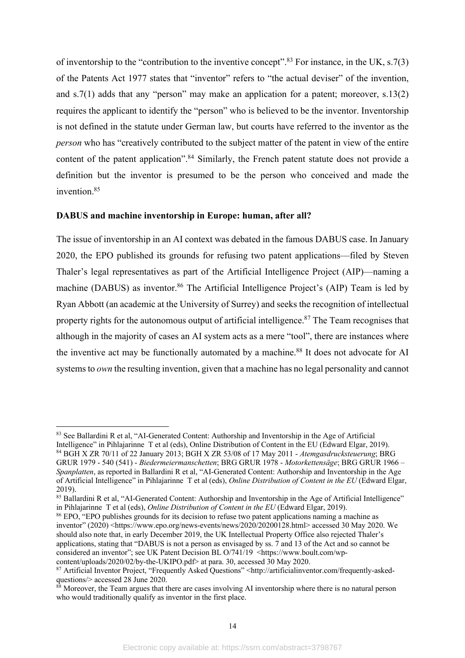of inventorship to the "contribution to the inventive concept".<sup>83</sup> For instance, in the UK, s.7(3) of the Patents Act 1977 states that "inventor" refers to "the actual deviser" of the invention, and  $s.7(1)$  adds that any "person" may make an application for a patent; moreover,  $s.13(2)$ requires the applicant to identify the "person" who is believed to be the inventor. Inventorship is not defined in the statute under German law, but courts have referred to the inventor as the *person* who has "creatively contributed to the subject matter of the patent in view of the entire content of the patent application".<sup>84</sup> Similarly, the French patent statute does not provide a definition but the inventor is presumed to be the person who conceived and made the invention.85

#### **DABUS and machine inventorship in Europe: human, after all?**

The issue of inventorship in an AI context was debated in the famous DABUS case. In January 2020, the EPO published its grounds for refusing two patent applications—filed by Steven Thaler's legal representatives as part of the Artificial Intelligence Project (AIP)—naming a machine (DABUS) as inventor.<sup>86</sup> The Artificial Intelligence Project's (AIP) Team is led by Ryan Abbott (an academic at the University of Surrey) and seeks the recognition of intellectual property rights for the autonomous output of artificial intelligence.<sup>87</sup> The Team recognises that although in the majority of cases an AI system acts as a mere "tool", there are instances where the inventive act may be functionally automated by a machine.<sup>88</sup> It does not advocate for AI systems to *own* the resulting invention, given that a machine has no legal personality and cannot

<sup>&</sup>lt;sup>83</sup> See Ballardini R et al, "AI-Generated Content: Authorship and Inventorship in the Age of Artificial Intelligence" in Pihlajarinne T et al (eds), Online Distribution of Content in the EU (Edward Elgar, 2019). <sup>84</sup> BGH X ZR 70/11 of 22 January 2013; BGH X ZR 53/08 of 17 May 2011 - *Atemgasdrucksteuerung*; BRG GRUR 1979 - 540 (541) - *Biedermeiermanschetten*; BRG GRUR 1978 - *Motorkettensäge*; BRG GRUR 1966 – *Spanplatten*, as reported in Ballardini R et al, "AI-Generated Content: Authorship and Inventorship in the Age of Artificial Intelligence" in Pihlajarinne T et al (eds), *Online Distribution of Content in the EU* (Edward Elgar, 2019).

<sup>&</sup>lt;sup>85</sup> Ballardini R et al, "AI-Generated Content: Authorship and Inventorship in the Age of Artificial Intelligence" in Pihlajarinne T et al (eds), *Online Distribution of Content in the EU* (Edward Elgar, 2019).

<sup>86</sup> EPO, "EPO publishes grounds for its decision to refuse two patent applications naming a machine as inventor" (2020) <https://www.epo.org/news-events/news/2020/20200128.html> accessed 30 May 2020. We should also note that, in early December 2019, the UK Intellectual Property Office also rejected Thaler's applications, stating that "DABUS is not a person as envisaged by ss. 7 and 13 of the Act and so cannot be considered an inventor": see UK Patent Decision BL  $O/741/19$  <https://www.boult.com/wpcontent/uploads/2020/02/by-the-UKIPO.pdf> at para. 30, accessed 30 May 2020.

<sup>87</sup> Artificial Inventor Project, "Frequently Asked Questions" <http://artificialinventor.com/frequently-askedquestions/> accessed 28 June 2020.

 $88$  Moreover, the Team argues that there are cases involving AI inventorship where there is no natural person who would traditionally qualify as inventor in the first place.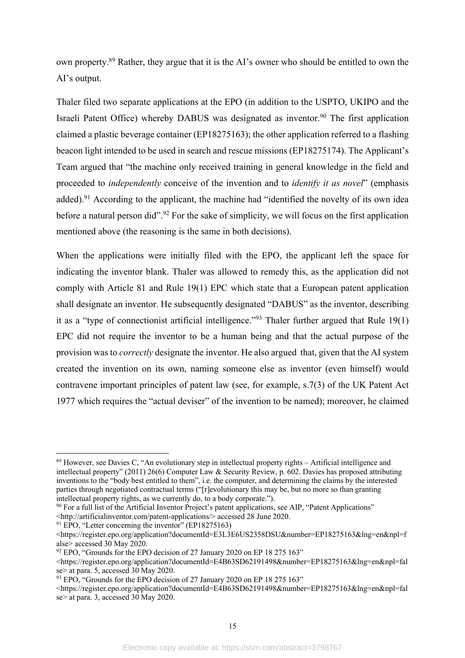own property.89 Rather, they argue that it is the AI's owner who should be entitled to own the AI's output.

Thaler filed two separate applications at the EPO (in addition to the USPTO, UKIPO and the Israeli Patent Office) whereby DABUS was designated as inventor. <sup>90</sup> The first application claimed a plastic beverage container (EP18275163); the other application referred to a flashing beacon light intended to be used in search and rescue missions (EP18275174). The Applicant's Team argued that "the machine only received training in general knowledge in the field and proceeded to *independently* conceive of the invention and to *identify it as novel*" (emphasis added).<sup>91</sup> According to the applicant, the machine had "identified the novelty of its own idea before a natural person did".<sup>92</sup> For the sake of simplicity, we will focus on the first application mentioned above (the reasoning is the same in both decisions).

When the applications were initially filed with the EPO, the applicant left the space for indicating the inventor blank. Thaler was allowed to remedy this, as the application did not comply with Article 81 and Rule 19(1) EPC which state that a European patent application shall designate an inventor. He subsequently designated "DABUS" as the inventor, describing it as a "type of connectionist artificial intelligence."<sup>93</sup> Thaler further argued that Rule  $19(1)$ EPC did not require the inventor to be a human being and that the actual purpose of the provision was to *correctly* designate the inventor. He also argued that, given that the AI system created the invention on its own, naming someone else as inventor (even himself) would contravene important principles of patent law (see, for example, s.7(3) of the UK Patent Act 1977 which requires the "actual deviser" of the invention to be named); moreover, he claimed

<sup>89</sup> However, see Davies C, "An evolutionary step in intellectual property rights – Artificial intelligence and intellectual property" (2011) 26(6) Computer Law & Security Review, p. 602. Davies has proposed attributing inventions to the "body best entitled to them", i.e. the computer, and determining the claims by the interested parties through negotiated contractual terms ("[r]evolutionary this may be, but no more so than granting intellectual property rights, as we currently do, to a body corporate.").

<sup>90</sup> For a full list of the Artificial Inventor Project's patent applications, see AIP, "Patent Applications" <http://artificialinventor.com/patent-applications/> accessed 28 June 2020. 91 EPO, "Letter concerning the inventor" (EP18275163)

<sup>&</sup>lt;https://register.epo.org/application?documentId=E3L3E6US2358DSU&number=EP18275163&lng=en&npl=f alse> accessed 30 May 2020.

 $92$  EPO, "Grounds for the EPO decision of 27 January 2020 on EP 18 275 163"

<sup>&</sup>lt;https://register.epo.org/application?documentId=E4B63SD62191498&number=EP18275163&lng=en&npl=fal se at para. 5, accessed  $30$  May 2020.

<sup>&</sup>lt;sup>93</sup> EPO, "Grounds for the EPO decision of 27 January 2020 on EP 18 275 163"

<sup>&</sup>lt;https://register.epo.org/application?documentId=E4B63SD62191498&number=EP18275163&lng=en&npl=fal se> at para. 3, accessed 30 May 2020.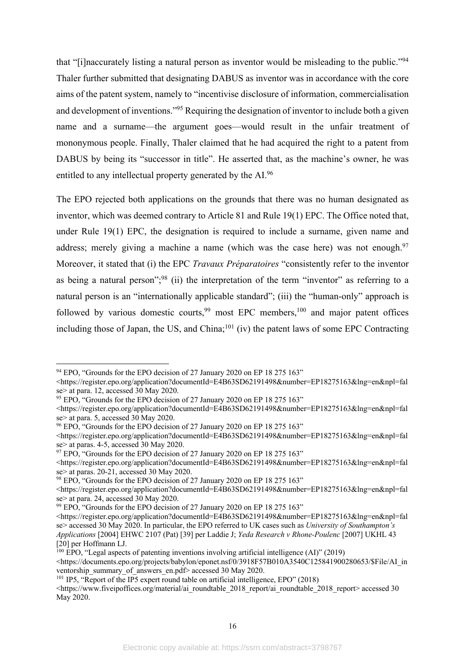that "[i]naccurately listing a natural person as inventor would be misleading to the public."94 Thaler further submitted that designating DABUS as inventor was in accordance with the core aims of the patent system, namely to "incentivise disclosure of information, commercialisation and development of inventions."95 Requiring the designation of inventor to include both a given name and a surname—the argument goes—would result in the unfair treatment of mononymous people. Finally, Thaler claimed that he had acquired the right to a patent from DABUS by being its "successor in title". He asserted that, as the machine's owner, he was entitled to any intellectual property generated by the AI.96

The EPO rejected both applications on the grounds that there was no human designated as inventor, which was deemed contrary to Article 81 and Rule 19(1) EPC. The Office noted that, under Rule 19(1) EPC, the designation is required to include a surname, given name and address; merely giving a machine a name (which was the case here) was not enough.<sup>97</sup> Moreover, it stated that (i) the EPC *Travaux Préparatoires* "consistently refer to the inventor as being a natural person";<sup>98</sup> (ii) the interpretation of the term "inventor" as referring to a natural person is an "internationally applicable standard"; (iii) the "human-only" approach is followed by various domestic courts,  $99$  most EPC members,  $100$  and major patent offices including those of Japan, the US, and China;<sup>101</sup> (iv) the patent laws of some EPC Contracting

 $97$  EPO, "Grounds for the EPO decision of 27 January 2020 on EP 18 275 163"

<sup>98</sup> EPO, "Grounds for the EPO decision of 27 January 2020 on EP 18 275 163"

<sup>&</sup>lt;sup>94</sup> EPO. "Grounds for the EPO decision of 27 January 2020 on EP 18 275 163"

<sup>&</sup>lt;https://register.epo.org/application?documentId=E4B63SD62191498&number=EP18275163&lng=en&npl=fal se> at para. 12, accessed 30 May 2020.

<sup>&</sup>lt;sup>95</sup> EPO, "Grounds for the EPO decision of 27 January 2020 on EP 18 275 163"

<sup>&</sup>lt;https://register.epo.org/application?documentId=E4B63SD62191498&number=EP18275163&lng=en&npl=fal se> at para. 5, accessed 30 May 2020.

<sup>&</sup>lt;sup>96</sup> EPO, "Grounds for the EPO decision of 27 January 2020 on EP 18 275 163"

<sup>&</sup>lt;https://register.epo.org/application?documentId=E4B63SD62191498&number=EP18275163&lng=en&npl=fal se> at paras. 4-5, accessed 30 May 2020.

<sup>&</sup>lt;https://register.epo.org/application?documentId=E4B63SD62191498&number=EP18275163&lng=en&npl=fal se> at paras. 20-21, accessed 30 May 2020.

<sup>&</sup>lt;https://register.epo.org/application?documentId=E4B63SD62191498&number=EP18275163&lng=en&npl=fal se> at para. 24, accessed 30 May 2020.

<sup>&</sup>lt;sup>99</sup> EPO, "Grounds for the EPO decision of 27 January 2020 on EP 18 275 163"

<sup>&</sup>lt;https://register.epo.org/application?documentId=E4B63SD62191498&number=EP18275163&lng=en&npl=fal se> accessed 30 May 2020. In particular, the EPO referred to UK cases such as *University of Southampton's Applications* [2004] EHWC 2107 (Pat) [39] per Laddie J; *Yeda Research v Rhone-Poulenc* [2007] UKHL 43 [20] per Hoffmann LJ.

 $^{100}$  EPO, "Legal aspects of patenting inventions involving artificial intelligence (AI)" (2019)

 $\lt$ https://documents.epo.org/projects/babylon/eponet.nsf/0/3918F57B010A3540C125841900280653/\$File/AI\_in ventorship\_summary\_of\_answers\_en.pdf> accessed 30 May 2020.

<sup>&</sup>lt;sup>101</sup> IP5, "Report of the IP5 expert round table on artificial intelligence, EPO" (2018)

<sup>&</sup>lt;https://www.fiveipoffices.org/material/ai\_roundtable\_2018\_report/ai\_roundtable\_2018\_report> accessed 30 May 2020.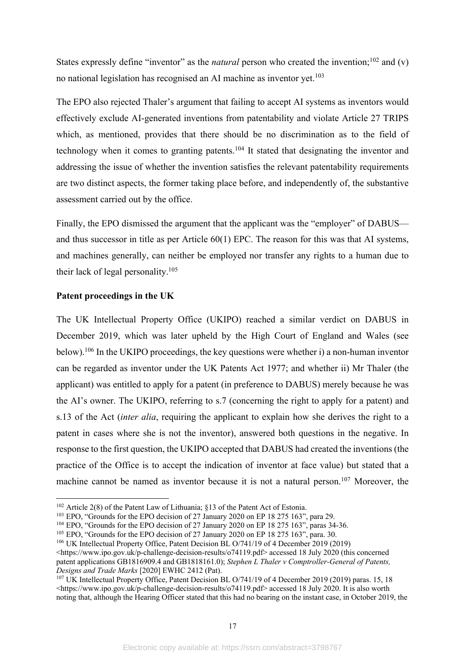States expressly define "inventor" as the *natural* person who created the invention;<sup>102</sup> and (v) no national legislation has recognised an AI machine as inventor yet. 103

The EPO also rejected Thaler's argument that failing to accept AI systems as inventors would effectively exclude AI-generated inventions from patentability and violate Article 27 TRIPS which, as mentioned, provides that there should be no discrimination as to the field of technology when it comes to granting patents.<sup>104</sup> It stated that designating the inventor and addressing the issue of whether the invention satisfies the relevant patentability requirements are two distinct aspects, the former taking place before, and independently of, the substantive assessment carried out by the office.

Finally, the EPO dismissed the argument that the applicant was the "employer" of DABUS and thus successor in title as per Article 60(1) EPC. The reason for this was that AI systems, and machines generally, can neither be employed nor transfer any rights to a human due to their lack of legal personality.105

# **Patent proceedings in the UK**

The UK Intellectual Property Office (UKIPO) reached a similar verdict on DABUS in December 2019, which was later upheld by the High Court of England and Wales (see below).106 In the UKIPO proceedings, the key questions were whether i) a non-human inventor can be regarded as inventor under the UK Patents Act 1977; and whether ii) Mr Thaler (the applicant) was entitled to apply for a patent (in preference to DABUS) merely because he was the AI's owner. The UKIPO, referring to s.7 (concerning the right to apply for a patent) and s.13 of the Act (*inter alia*, requiring the applicant to explain how she derives the right to a patent in cases where she is not the inventor), answered both questions in the negative. In response to the first question, the UKIPO accepted that DABUS had created the inventions (the practice of the Office is to accept the indication of inventor at face value) but stated that a machine cannot be named as inventor because it is not a natural person.<sup>107</sup> Moreover, the

<sup>&</sup>lt;sup>102</sup> Article 2(8) of the Patent Law of Lithuania; §13 of the Patent Act of Estonia.<br><sup>103</sup> EPO, "Grounds for the EPO decision of 27 January 2020 on EP 18 275 163", para 29.

<sup>&</sup>lt;sup>104</sup> EPO, "Grounds for the EPO decision of 27 January 2020 on EP 18 275 163", paras 34-36.

 $105$  EPO, "Grounds for the EPO decision of 27 January 2020 on EP 18 275 163", para. 30.

<sup>&</sup>lt;sup>106</sup> UK Intellectual Property Office, Patent Decision BL O/741/19 of 4 December 2019 (2019)

<sup>&</sup>lt;https://www.ipo.gov.uk/p-challenge-decision-results/o74119.pdf> accessed 18 July 2020 (this concerned patent applications GB1816909.4 and GB1818161.0); *Stephen L Thaler v Comptroller-General of Patents, Designs and Trade Marks* [2020] EWHC 2412 (Pat).

<sup>&</sup>lt;sup>107</sup> UK Intellectual Property Office, Patent Decision BL O/741/19 of 4 December 2019 (2019) paras. 15, 18 <https://www.ipo.gov.uk/p-challenge-decision-results/o74119.pdf> accessed 18 July 2020. It is also worth noting that, although the Hearing Officer stated that this had no bearing on the instant case, in October 2019, the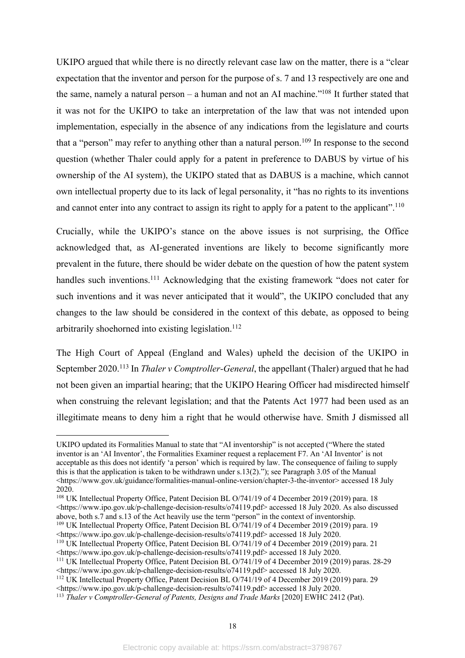UKIPO argued that while there is no directly relevant case law on the matter, there is a "clear expectation that the inventor and person for the purpose of s. 7 and 13 respectively are one and the same, namely a natural person – a human and not an AI machine."108 It further stated that it was not for the UKIPO to take an interpretation of the law that was not intended upon implementation, especially in the absence of any indications from the legislature and courts that a "person" may refer to anything other than a natural person.<sup>109</sup> In response to the second question (whether Thaler could apply for a patent in preference to DABUS by virtue of his ownership of the AI system), the UKIPO stated that as DABUS is a machine, which cannot own intellectual property due to its lack of legal personality, it "has no rights to its inventions and cannot enter into any contract to assign its right to apply for a patent to the applicant".<sup>110</sup>

Crucially, while the UKIPO's stance on the above issues is not surprising, the Office acknowledged that, as AI-generated inventions are likely to become significantly more prevalent in the future, there should be wider debate on the question of how the patent system handles such inventions.<sup>111</sup> Acknowledging that the existing framework "does not cater for such inventions and it was never anticipated that it would", the UKIPO concluded that any changes to the law should be considered in the context of this debate, as opposed to being arbitrarily shoehorned into existing legislation.<sup>112</sup>

The High Court of Appeal (England and Wales) upheld the decision of the UKIPO in September 2020. <sup>113</sup> In *Thaler v Comptroller-General*, the appellant (Thaler) argued that he had not been given an impartial hearing; that the UKIPO Hearing Officer had misdirected himself when construing the relevant legislation; and that the Patents Act 1977 had been used as an illegitimate means to deny him a right that he would otherwise have. Smith J dismissed all

UKIPO updated its Formalities Manual to state that "AI inventorship" is not accepted ("Where the stated inventor is an 'AI Inventor', the Formalities Examiner request a replacement F7. An 'AI Inventor' is not acceptable as this does not identify 'a person' which is required by law. The consequence of failing to supply this is that the application is taken to be withdrawn under s.13(2)."); see Paragraph 3.05 of the Manual <https://www.gov.uk/guidance/formalities-manual-online-version/chapter-3-the-inventor> accessed 18 July 2020.

<sup>&</sup>lt;sup>108</sup> UK Intellectual Property Office, Patent Decision BL O/741/19 of 4 December 2019 (2019) para. 18 <https://www.ipo.gov.uk/p-challenge-decision-results/o74119.pdf> accessed 18 July 2020. As also discussed above, both s.7 and s.13 of the Act heavily use the term "person" in the context of inventorship. <sup>109</sup> UK Intellectual Property Office, Patent Decision BL O/741/19 of 4 December 2019 (2019) para. 19

<sup>&</sup>lt;https://www.ipo.gov.uk/p-challenge-decision-results/o74119.pdf> accessed 18 July 2020.

<sup>&</sup>lt;sup>110</sup> UK Intellectual Property Office, Patent Decision BL O/741/19 of 4 December 2019 (2019) para. 21

 $\leq$ https://www.ipo.gov.uk/p-challenge-decision-results/o74119.pdf> accessed 18 July 2020. <sup>111</sup> UK Intellectual Property Office, Patent Decision BL O/741/19 of 4 December 2019 (2019) paras. 28-29

<sup>&</sup>lt;https://www.ipo.gov.uk/p-challenge-decision-results/o74119.pdf> accessed 18 July 2020. <sup>112</sup> UK Intellectual Property Office, Patent Decision BL O/741/19 of 4 December 2019 (2019) para. 29

<sup>&</sup>lt;https://www.ipo.gov.uk/p-challenge-decision-results/o74119.pdf> accessed 18 July 2020.

<sup>113</sup> *Thaler v Comptroller-General of Patents, Designs and Trade Marks* [2020] EWHC 2412 (Pat).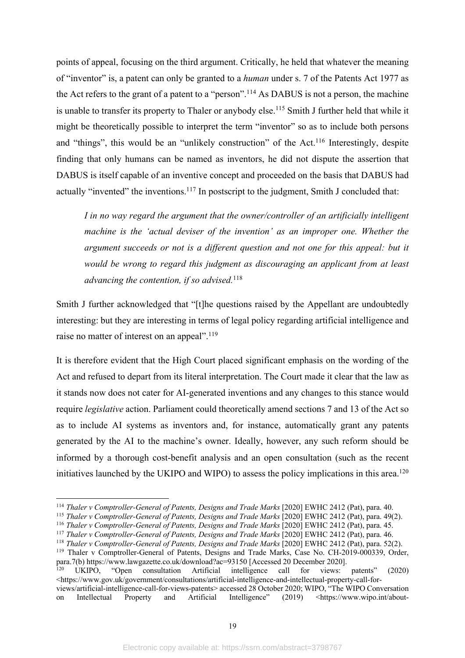points of appeal, focusing on the third argument. Critically, he held that whatever the meaning of "inventor" is, a patent can only be granted to a *human* under s. 7 of the Patents Act 1977 as the Act refers to the grant of a patent to a "person".<sup>114</sup> As DABUS is not a person, the machine is unable to transfer its property to Thaler or anybody else.<sup>115</sup> Smith J further held that while it might be theoretically possible to interpret the term "inventor" so as to include both persons and "things", this would be an "unlikely construction" of the Act.<sup>116</sup> Interestingly, despite finding that only humans can be named as inventors, he did not dispute the assertion that DABUS is itself capable of an inventive concept and proceeded on the basis that DABUS had actually "invented" the inventions.<sup>117</sup> In postscript to the judgment, Smith J concluded that:

*I in no way regard the argument that the owner/controller of an artificially intelligent machine is the 'actual deviser of the invention' as an improper one. Whether the argument succeeds or not is a different question and not one for this appeal: but it would be wrong to regard this judgment as discouraging an applicant from at least advancing the contention, if so advised.*<sup>118</sup>

Smith J further acknowledged that "[t]he questions raised by the Appellant are undoubtedly interesting: but they are interesting in terms of legal policy regarding artificial intelligence and raise no matter of interest on an appeal".<sup>119</sup>

It is therefore evident that the High Court placed significant emphasis on the wording of the Act and refused to depart from its literal interpretation. The Court made it clear that the law as it stands now does not cater for AI-generated inventions and any changes to this stance would require *legislative* action. Parliament could theoretically amend sections 7 and 13 of the Act so as to include AI systems as inventors and, for instance, automatically grant any patents generated by the AI to the machine's owner. Ideally, however, any such reform should be informed by a thorough cost-benefit analysis and an open consultation (such as the recent initiatives launched by the UKIPO and WIPO) to assess the policy implications in this area. 120

<sup>114</sup> *Thaler v Comptroller-General of Patents, Designs and Trade Marks* [2020] EWHC 2412 (Pat), para. 40.

<sup>115</sup> *Thaler v Comptroller-General of Patents, Designs and Trade Marks* [2020] EWHC 2412 (Pat), para. 49(2).

<sup>116</sup> *Thaler v Comptroller-General of Patents, Designs and Trade Marks* [2020] EWHC 2412 (Pat), para. 45.

<sup>117</sup> *Thaler v Comptroller-General of Patents, Designs and Trade Marks* [2020] EWHC 2412 (Pat), para. 46.

<sup>118</sup> *Thaler v Comptroller-General of Patents, Designs and Trade Marks* [2020] EWHC 2412 (Pat), para. 52(2). <sup>119</sup> Thaler v Comptroller-General of Patents, Designs and Trade Marks, Case No. CH-2019-000339, Order, para.7(b) https://www.lawgazette.co.uk/download?ac=93150 [Accessed 20 December 2020].

<sup>120</sup> UKIPO, "Open consultation Artificial intelligence call for views: patents" (2020) <https://www.gov.uk/government/consultations/artificial-intelligence-and-intellectual-property-call-forviews/artificial-intelligence-call-for-views-patents> accessed 28 October 2020; WIPO, "The WIPO Conversation

on Intellectual Property and Artificial Intelligence" (2019) <https://www.wipo.int/about-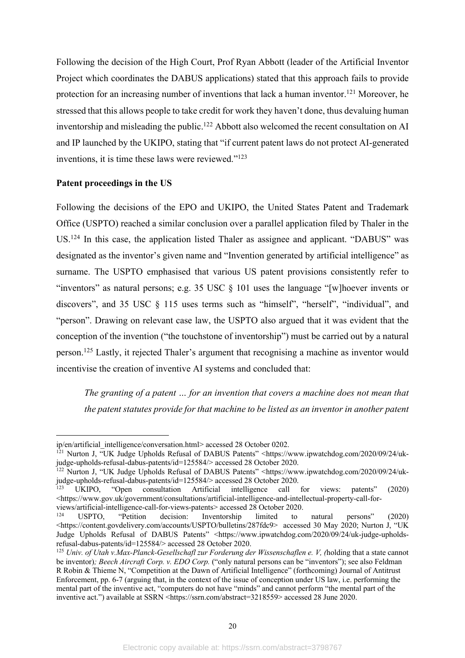Following the decision of the High Court, Prof Ryan Abbott (leader of the Artificial Inventor Project which coordinates the DABUS applications) stated that this approach fails to provide protection for an increasing number of inventions that lack a human inventor.<sup>121</sup> Moreover, he stressed that this allows people to take credit for work they haven't done, thus devaluing human inventorship and misleading the public.<sup>122</sup> Abbott also welcomed the recent consultation on AI and IP launched by the UKIPO, stating that "if current patent laws do not protect AI-generated inventions, it is time these laws were reviewed."<sup>123</sup>

#### **Patent proceedings in the US**

Following the decisions of the EPO and UKIPO, the United States Patent and Trademark Office (USPTO) reached a similar conclusion over a parallel application filed by Thaler in the US.<sup>124</sup> In this case, the application listed Thaler as assignee and applicant. "DABUS" was designated as the inventor's given name and "Invention generated by artificial intelligence" as surname. The USPTO emphasised that various US patent provisions consistently refer to "inventors" as natural persons; e.g. 35 USC § 101 uses the language "[w]hoever invents or discovers", and 35 USC § 115 uses terms such as "himself", "herself", "individual", and "person". Drawing on relevant case law, the USPTO also argued that it was evident that the conception of the invention ("the touchstone of inventorship") must be carried out by a natural person.<sup>125</sup> Lastly, it rejected Thaler's argument that recognising a machine as inventor would incentivise the creation of inventive AI systems and concluded that:

*The granting of a patent … for an invention that covers a machine does not mean that the patent statutes provide for that machine to be listed as an inventor in another patent* 

ip/en/artificial\_intelligence/conversation.html> accessed 28 October 0202.

<sup>&</sup>lt;sup>121</sup> Nurton J, "UK Judge Upholds Refusal of DABUS Patents" <https://www.ipwatchdog.com/2020/09/24/ukjudge-upholds-refusal-dabus-patents/id=125584/> accessed 28 October 2020.

<sup>122</sup> Nurton J, "UK Judge Upholds Refusal of DABUS Patents" <https://www.ipwatchdog.com/2020/09/24/ukjudge-upholds-refusal-dabus-patents/id=125584/> accessed 28 October 2020.<br><sup>123</sup> UKIPO, "Open consultation Artificial intelligence call

<sup>123</sup> UKIPO, "Open consultation Artificial intelligence call for views: patents" (2020) <https://www.gov.uk/government/consultations/artificial-intelligence-and-intellectual-property-call-for-

views/artificial-intelligence-call-for-views-patents> accessed 28 October 2020.<br><sup>124</sup> USPTO, "Petition decision: Inventorship limited to "Petition decision: Inventorship limited to natural persons" (2020) <https://content.govdelivery.com/accounts/USPTO/bulletins/287fdc9> accessed 30 May 2020; Nurton J, "UK Judge Upholds Refusal of DABUS Patents" <https://www.ipwatchdog.com/2020/09/24/uk-judge-upholdsrefusal-dabus-patents/id=125584/> accessed 28 October 2020.

<sup>125</sup> *Univ. of Utah v.Max-Planck-Gesellschafl zur Forderung der Wissenschaflen e. V, (*holding that a state cannot be inventor)*; Beech Aircraft Corp. v. EDO Corp.* ("only natural persons can be "inventors"); see also Feldman R Robin & Thieme N, "Competition at the Dawn of Artificial Intelligence" (forthcoming) Journal of Antitrust Enforcement, pp. 6-7 (arguing that, in the context of the issue of conception under US law, i.e. performing the mental part of the inventive act, "computers do not have "minds" and cannot perform "the mental part of the inventive act.") available at SSRN <https://ssrn.com/abstract=3218559> accessed 28 June 2020.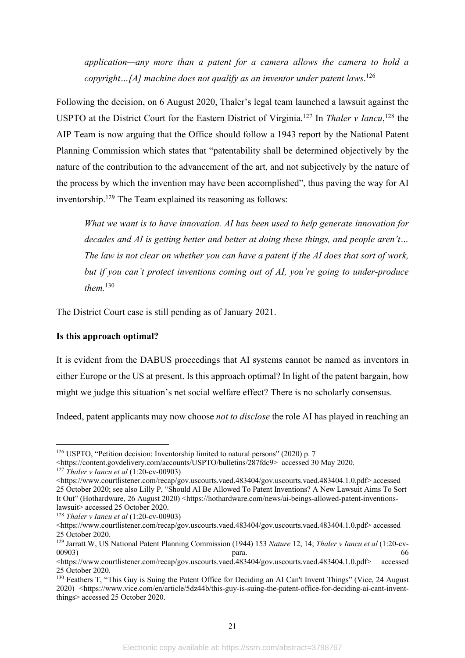*application—any more than a patent for a camera allows the camera to hold a copyright…[A] machine does not qualify as an inventor under patent laws*. 126

Following the decision, on 6 August 2020, Thaler's legal team launched a lawsuit against the USPTO at the District Court for the Eastern District of Virginia. <sup>127</sup> In *Thaler v Iancu*, <sup>128</sup> the AIP Team is now arguing that the Office should follow a 1943 report by the National Patent Planning Commission which states that "patentability shall be determined objectively by the nature of the contribution to the advancement of the art, and not subjectively by the nature of the process by which the invention may have been accomplished", thus paving the way for AI inventorship.129 The Team explained its reasoning as follows:

*What we want is to have innovation. AI has been used to help generate innovation for decades and AI is getting better and better at doing these things, and people aren't… The law is not clear on whether you can have a patent if the AI does that sort of work, but if you can't protect inventions coming out of AI, you're going to under-produce them.*<sup>130</sup>

The District Court case is still pending as of January 2021.

# **Is this approach optimal?**

It is evident from the DABUS proceedings that AI systems cannot be named as inventors in either Europe or the US at present. Is this approach optimal? In light of the patent bargain, how might we judge this situation's net social welfare effect? There is no scholarly consensus.

Indeed, patent applicants may now choose *not to disclose* the role AI has played in reaching an

<sup>&</sup>lt;sup>126</sup> USPTO, "Petition decision: Inventorship limited to natural persons" (2020) p. 7

<sup>&</sup>lt;https://content.govdelivery.com/accounts/USPTO/bulletins/287fdc9> accessed 30 May 2020.

<sup>127</sup> *Thaler v Iancu et al* (1:20-cv-00903)

<sup>&</sup>lt;https://www.courtlistener.com/recap/gov.uscourts.vaed.483404/gov.uscourts.vaed.483404.1.0.pdf> accessed 25 October 2020; see also Lilly P, "Should AI Be Allowed To Patent Inventions? A New Lawsuit Aims To Sort It Out" (Hothardware, 26 August 2020) <https://hothardware.com/news/ai-beings-allowed-patent-inventionslawsuit> accessed 25 October 2020.

<sup>128</sup> *Thaler v Iancu et al* (1:20-cv-00903)

<sup>&</sup>lt;https://www.courtlistener.com/recap/gov.uscourts.vaed.483404/gov.uscourts.vaed.483404.1.0.pdf> accessed 25 October 2020.

<sup>129</sup> Jarratt W, US National Patent Planning Commission (1944) 153 *Nature* 12, 14; *Thaler v Iancu et al* (1:20-cv-00903) **para.** 66

<sup>&</sup>lt;https://www.courtlistener.com/recap/gov.uscourts.vaed.483404/gov.uscourts.vaed.483404.1.0.pdf> accessed 25 October 2020.

<sup>130</sup> Feathers T, "This Guy is Suing the Patent Office for Deciding an AI Can't Invent Things" (Vice, 24 August 2020) <https://www.vice.com/en/article/5dz44b/this-guy-is-suing-the-patent-office-for-deciding-ai-cant-inventthings> accessed 25 October 2020.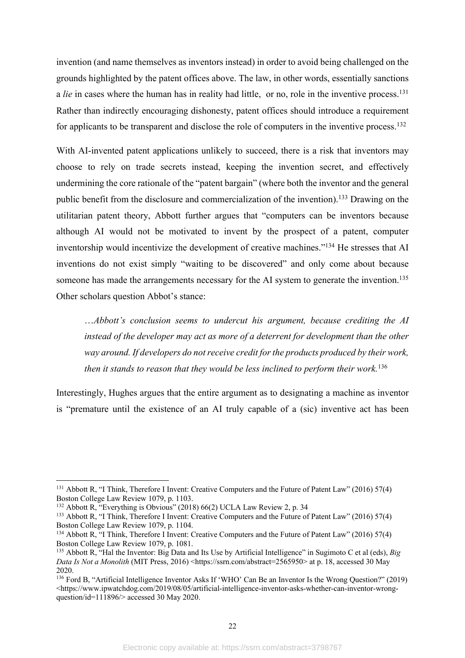invention (and name themselves as inventors instead) in order to avoid being challenged on the grounds highlighted by the patent offices above. The law, in other words, essentially sanctions a *lie* in cases where the human has in reality had little, or no, role in the inventive process. 131 Rather than indirectly encouraging dishonesty, patent offices should introduce a requirement for applicants to be transparent and disclose the role of computers in the inventive process.<sup>132</sup>

With AI-invented patent applications unlikely to succeed, there is a risk that inventors may choose to rely on trade secrets instead, keeping the invention secret, and effectively undermining the core rationale of the "patent bargain" (where both the inventor and the general public benefit from the disclosure and commercialization of the invention).<sup>133</sup> Drawing on the utilitarian patent theory, Abbott further argues that "computers can be inventors because although AI would not be motivated to invent by the prospect of a patent, computer inventorship would incentivize the development of creative machines."134 He stresses that AI inventions do not exist simply "waiting to be discovered" and only come about because someone has made the arrangements necessary for the AI system to generate the invention.<sup>135</sup> Other scholars question Abbot's stance:

…*Abbott's conclusion seems to undercut his argument, because crediting the AI instead of the developer may act as more of a deterrent for development than the other way around. If developers do not receive credit for the products produced by their work, then it stands to reason that they would be less inclined to perform their work.*<sup>136</sup>

Interestingly, Hughes argues that the entire argument as to designating a machine as inventor is "premature until the existence of an AI truly capable of a (sic) inventive act has been

<sup>&</sup>lt;sup>131</sup> Abbott R, "I Think, Therefore I Invent: Creative Computers and the Future of Patent Law" (2016) 57(4) Boston College Law Review 1079, p. 1103.

<sup>&</sup>lt;sup>132</sup> Abbott R, "Everything is Obvious" (2018) 66(2) UCLA Law Review 2, p. 34

<sup>&</sup>lt;sup>133</sup> Abbott R, "I Think, Therefore I Invent: Creative Computers and the Future of Patent Law" (2016) 57(4) Boston College Law Review 1079, p. 1104.

<sup>&</sup>lt;sup>134</sup> Abbott R, "I Think, Therefore I Invent: Creative Computers and the Future of Patent Law" (2016) 57(4) Boston College Law Review 1079, p. 1081.

<sup>135</sup> Abbott R, "Hal the Inventor: Big Data and Its Use by Artificial Intelligence" in Sugimoto C et al (eds), *Big Data Is Not a Monolith* (MIT Press, 2016) <https://ssrn.com/abstract=2565950> at p. 18, accessed 30 May 2020.

<sup>136</sup> Ford B, "Artificial Intelligence Inventor Asks If 'WHO' Can Be an Inventor Is the Wrong Question?" (2019) <https://www.ipwatchdog.com/2019/08/05/artificial-intelligence-inventor-asks-whether-can-inventor-wrongquestion/id=111896/> accessed 30 May 2020.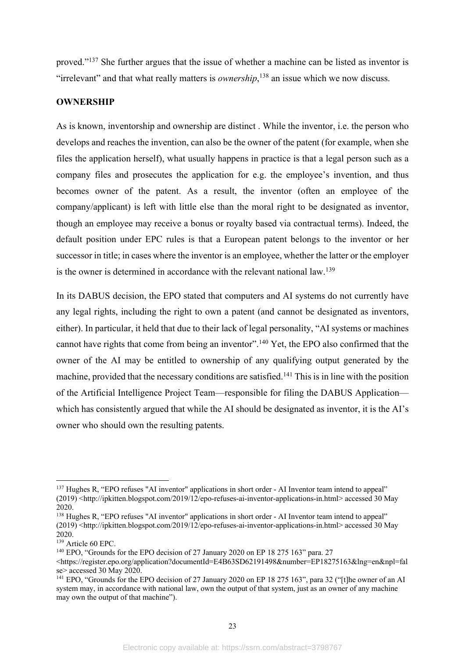proved."137 She further argues that the issue of whether a machine can be listed as inventor is "irrelevant" and that what really matters is *ownership*, <sup>138</sup> an issue which we now discuss.

#### **OWNERSHIP**

As is known, inventorship and ownership are distinct . While the inventor, i.e. the person who develops and reaches the invention, can also be the owner of the patent (for example, when she files the application herself), what usually happens in practice is that a legal person such as a company files and prosecutes the application for e.g. the employee's invention, and thus becomes owner of the patent. As a result, the inventor (often an employee of the company/applicant) is left with little else than the moral right to be designated as inventor, though an employee may receive a bonus or royalty based via contractual terms). Indeed, the default position under EPC rules is that a European patent belongs to the inventor or her successor in title; in cases where the inventor is an employee, whether the latter or the employer is the owner is determined in accordance with the relevant national law.139

In its DABUS decision, the EPO stated that computers and AI systems do not currently have any legal rights, including the right to own a patent (and cannot be designated as inventors, either). In particular, it held that due to their lack of legal personality, "AI systems or machines cannot have rights that come from being an inventor".<sup>140</sup> Yet, the EPO also confirmed that the owner of the AI may be entitled to ownership of any qualifying output generated by the machine, provided that the necessary conditions are satisfied.<sup>141</sup> This is in line with the position of the Artificial Intelligence Project Team—responsible for filing the DABUS Application which has consistently argued that while the AI should be designated as inventor, it is the AI's owner who should own the resulting patents.

<sup>&</sup>lt;sup>137</sup> Hughes R, "EPO refuses "AI inventor" applications in short order - AI Inventor team intend to appeal" (2019) <http://ipkitten.blogspot.com/2019/12/epo-refuses-ai-inventor-applications-in.html> accessed 30 May 2020.

<sup>&</sup>lt;sup>138</sup> Hughes R, "EPO refuses "AI inventor" applications in short order - AI Inventor team intend to appeal" (2019) <http://ipkitten.blogspot.com/2019/12/epo-refuses-ai-inventor-applications-in.html> accessed 30 May 2020.

<sup>139</sup> Article 60 EPC.

<sup>&</sup>lt;sup>140</sup> EPO, "Grounds for the EPO decision of 27 January 2020 on EP 18 275 163" para. 27

<sup>&</sup>lt;https://register.epo.org/application?documentId=E4B63SD62191498&number=EP18275163&lng=en&npl=fal se> accessed 30 May 2020.

<sup>&</sup>lt;sup>141</sup> EPO, "Grounds for the EPO decision of 27 January 2020 on EP 18 275 163", para 32 ("[t]he owner of an AI system may, in accordance with national law, own the output of that system, just as an owner of any machine may own the output of that machine").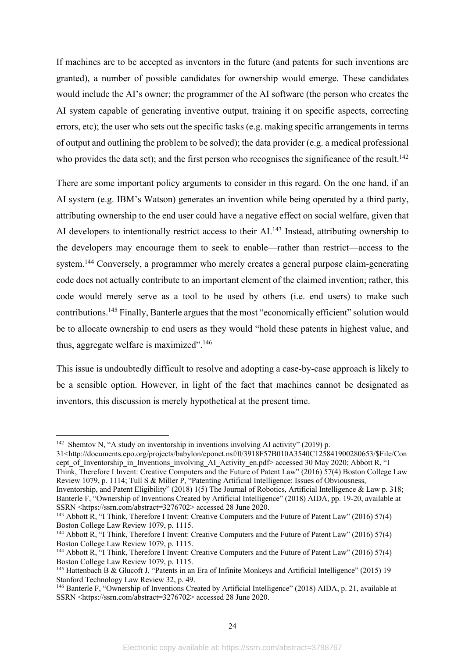If machines are to be accepted as inventors in the future (and patents for such inventions are granted), a number of possible candidates for ownership would emerge. These candidates would include the AI's owner; the programmer of the AI software (the person who creates the AI system capable of generating inventive output, training it on specific aspects, correcting errors, etc); the user who sets out the specific tasks (e.g. making specific arrangements in terms of output and outlining the problem to be solved); the data provider (e.g. a medical professional who provides the data set); and the first person who recognises the significance of the result.<sup>142</sup>

There are some important policy arguments to consider in this regard. On the one hand, if an AI system (e.g. IBM's Watson) generates an invention while being operated by a third party, attributing ownership to the end user could have a negative effect on social welfare, given that AI developers to intentionally restrict access to their AI.<sup>143</sup> Instead, attributing ownership to the developers may encourage them to seek to enable—rather than restrict—access to the system.<sup>144</sup> Conversely, a programmer who merely creates a general purpose claim-generating code does not actually contribute to an important element of the claimed invention; rather, this code would merely serve as a tool to be used by others (i.e. end users) to make such contributions.145 Finally, Banterle argues that the most "economically efficient" solution would be to allocate ownership to end users as they would "hold these patents in highest value, and thus, aggregate welfare is maximized".146

This issue is undoubtedly difficult to resolve and adopting a case-by-case approach is likely to be a sensible option. However, in light of the fact that machines cannot be designated as inventors, this discussion is merely hypothetical at the present time.

31<http://documents.epo.org/projects/babylon/eponet.nsf/0/3918F57B010A3540C125841900280653/\$File/Con cept of Inventorship\_in\_Inventions\_involving\_AI\_Activity\_en.pdf> accessed 30 May 2020; Abbott R, "I Think, Therefore I Invent: Creative Computers and the Future of Patent Law" (2016) 57(4) Boston College Law Review 1079, p. 1114; Tull S & Miller P, "Patenting Artificial Intelligence: Issues of Obviousness, Inventorship, and Patent Eligibility" (2018) 1(5) The Journal of Robotics, Artificial Intelligence & Law p. 318; Banterle F, "Ownership of Inventions Created by Artificial Intelligence" (2018) AIDA, pp. 19-20, available at

<sup>&</sup>lt;sup>142</sup> Shemtov N, "A study on inventorship in inventions involving AI activity" (2019) p.

SSRN <https://ssrn.com/abstract=3276702> accessed 28 June 2020. <sup>143</sup> Abbott R, "I Think, Therefore I Invent: Creative Computers and the Future of Patent Law" (2016) 57(4)

Boston College Law Review 1079, p. 1115.

<sup>&</sup>lt;sup>144</sup> Abbott R, "I Think, Therefore I Invent: Creative Computers and the Future of Patent Law" (2016) 57(4) Boston College Law Review 1079, p. 1115.

<sup>&</sup>lt;sup>144</sup> Abbott R, "I Think, Therefore I Invent: Creative Computers and the Future of Patent Law" (2016) 57(4) Boston College Law Review 1079, p. 1115.

<sup>145</sup> Hattenbach B & Glucoft J, "Patents in an Era of Infinite Monkeys and Artificial Intelligence" (2015) 19 Stanford Technology Law Review 32, p. 49.

<sup>&</sup>lt;sup>146</sup> Banterle F, "Ownership of Inventions Created by Artificial Intelligence" (2018) AIDA, p. 21, available at SSRN <https://ssrn.com/abstract=3276702> accessed 28 June 2020.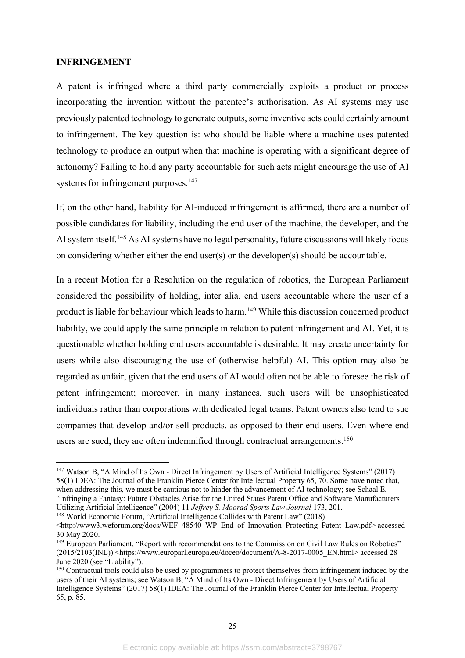#### **INFRINGEMENT**

A patent is infringed where a third party commercially exploits a product or process incorporating the invention without the patentee's authorisation. As AI systems may use previously patented technology to generate outputs, some inventive acts could certainly amount to infringement. The key question is: who should be liable where a machine uses patented technology to produce an output when that machine is operating with a significant degree of autonomy? Failing to hold any party accountable for such acts might encourage the use of AI systems for infringement purposes.<sup>147</sup>

If, on the other hand, liability for AI-induced infringement is affirmed, there are a number of possible candidates for liability, including the end user of the machine, the developer, and the AI system itself.<sup>148</sup> As AI systems have no legal personality, future discussions will likely focus on considering whether either the end user(s) or the developer(s) should be accountable.

In a recent Motion for a Resolution on the regulation of robotics, the European Parliament considered the possibility of holding, inter alia, end users accountable where the user of a product is liable for behaviour which leads to harm.<sup>149</sup> While this discussion concerned product liability, we could apply the same principle in relation to patent infringement and AI. Yet, it is questionable whether holding end users accountable is desirable. It may create uncertainty for users while also discouraging the use of (otherwise helpful) AI. This option may also be regarded as unfair, given that the end users of AI would often not be able to foresee the risk of patent infringement; moreover, in many instances, such users will be unsophisticated individuals rather than corporations with dedicated legal teams. Patent owners also tend to sue companies that develop and/or sell products, as opposed to their end users. Even where end users are sued, they are often indemnified through contractual arrangements.<sup>150</sup>

<sup>147</sup> Watson B, "A Mind of Its Own - Direct Infringement by Users of Artificial Intelligence Systems" (2017) 58(1) IDEA: The Journal of the Franklin Pierce Center for Intellectual Property 65, 70. Some have noted that, when addressing this, we must be cautious not to hinder the advancement of AI technology; see Schaal E, "Infringing a Fantasy: Future Obstacles Arise for the United States Patent Office and Software Manufacturers Utilizing Artificial Intelligence" (2004) 11 *Jeffrey S. Moorad Sports Law Journal* 173, 201. <sup>148</sup> World Economic Forum, "Artificial Intelligence Collides with Patent Law" (2018)

<sup>&</sup>lt;http://www3.weforum.org/docs/WEF\_48540\_WP\_End\_of\_Innovation\_Protecting\_Patent\_Law.pdf> accessed 30 May 2020.

<sup>&</sup>lt;sup>149</sup> European Parliament, "Report with recommendations to the Commission on Civil Law Rules on Robotics"  $(2015/2103(INL))$  <https://www.europarl.europa.eu/doceo/document/A-8-2017-0005 EN.html> accessed 28 June 2020 (see "Liability").

<sup>&</sup>lt;sup>150</sup> Contractual tools could also be used by programmers to protect themselves from infringement induced by the users of their AI systems; see Watson B, "A Mind of Its Own - Direct Infringement by Users of Artificial Intelligence Systems" (2017) 58(1) IDEA: The Journal of the Franklin Pierce Center for Intellectual Property 65, p. 85.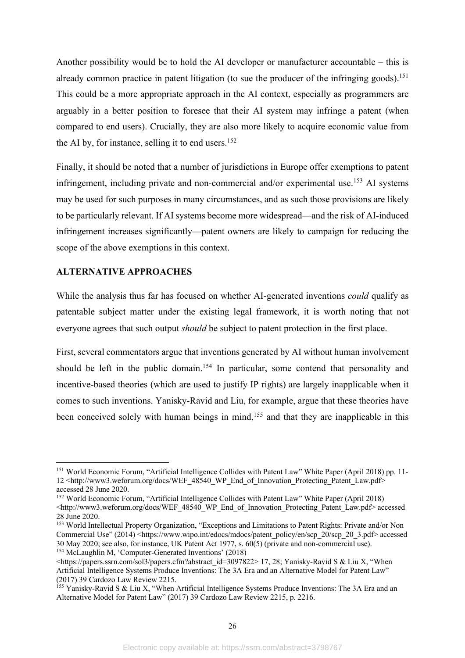Another possibility would be to hold the AI developer or manufacturer accountable – this is already common practice in patent litigation (to sue the producer of the infringing goods).<sup>151</sup> This could be a more appropriate approach in the AI context, especially as programmers are arguably in a better position to foresee that their AI system may infringe a patent (when compared to end users). Crucially, they are also more likely to acquire economic value from the AI by, for instance, selling it to end users. 152

Finally, it should be noted that a number of jurisdictions in Europe offer exemptions to patent infringement, including private and non-commercial and/or experimental use.<sup>153</sup> AI systems may be used for such purposes in many circumstances, and as such those provisions are likely to be particularly relevant. If AI systems become more widespread—and the risk of AI-induced infringement increases significantly—patent owners are likely to campaign for reducing the scope of the above exemptions in this context.

#### **ALTERNATIVE APPROACHES**

While the analysis thus far has focused on whether AI-generated inventions *could* qualify as patentable subject matter under the existing legal framework, it is worth noting that not everyone agrees that such output *should* be subject to patent protection in the first place.

First, several commentators argue that inventions generated by AI without human involvement should be left in the public domain.<sup>154</sup> In particular, some contend that personality and incentive-based theories (which are used to justify IP rights) are largely inapplicable when it comes to such inventions. Yanisky-Ravid and Liu, for example, argue that these theories have been conceived solely with human beings in mind,<sup>155</sup> and that they are inapplicable in this

<sup>&</sup>lt;sup>151</sup> World Economic Forum, "Artificial Intelligence Collides with Patent Law" White Paper (April 2018) pp. 11-12 <http://www3.weforum.org/docs/WEF\_48540\_WP\_End\_of\_Innovation\_Protecting\_Patent\_Law.pdf> accessed 28 June 2020.

<sup>152</sup> World Economic Forum, "Artificial Intelligence Collides with Patent Law" White Paper (April 2018) <http://www3.weforum.org/docs/WEF\_48540\_WP\_End\_of\_Innovation\_Protecting\_Patent\_Law.pdf> accessed 28 June 2020.

<sup>153</sup> World Intellectual Property Organization, "Exceptions and Limitations to Patent Rights: Private and/or Non Commercial Use" (2014) <https://www.wipo.int/edocs/mdocs/patent\_policy/en/scp\_20/scp\_20\_3.pdf> accessed 30 May 2020; see also, for instance, UK Patent Act 1977, s. 60(5) (private and non-commercial use). <sup>154</sup> McLaughlin M, 'Computer-Generated Inventions' (2018)

 $\lt$ https://papers.ssrn.com/sol3/papers.cfm?abstract\_id=3097822> 17, 28; Yanisky-Ravid S & Liu X, "When Artificial Intelligence Systems Produce Inventions: The 3A Era and an Alternative Model for Patent Law" (2017) 39 Cardozo Law Review 2215.

<sup>&</sup>lt;sup>155</sup> Yanisky-Ravid S & Liu X, "When Artificial Intelligence Systems Produce Inventions: The 3A Era and an Alternative Model for Patent Law" (2017) 39 Cardozo Law Review 2215, p. 2216.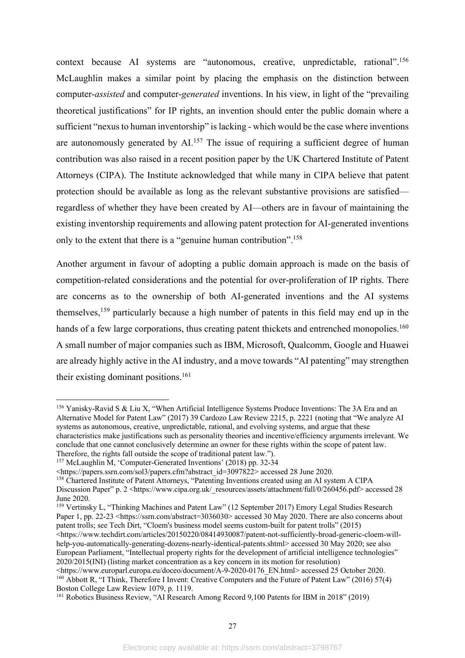context because AI systems are "autonomous, creative, unpredictable, rational". 156 McLaughlin makes a similar point by placing the emphasis on the distinction between computer-*assisted* and computer-*generated* inventions. In his view, in light of the "prevailing theoretical justifications" for IP rights, an invention should enter the public domain where a sufficient "nexus to human inventorship" is lacking - which would be the case where inventions are autonomously generated by AI.<sup>157</sup> The issue of requiring a sufficient degree of human contribution was also raised in a recent position paper by the UK Chartered Institute of Patent Attorneys (CIPA). The Institute acknowledged that while many in CIPA believe that patent protection should be available as long as the relevant substantive provisions are satisfied regardless of whether they have been created by AI—others are in favour of maintaining the existing inventorship requirements and allowing patent protection for AI-generated inventions only to the extent that there is a "genuine human contribution".<sup>158</sup>

Another argument in favour of adopting a public domain approach is made on the basis of competition-related considerations and the potential for over-proliferation of IP rights. There are concerns as to the ownership of both AI-generated inventions and the AI systems themselves, <sup>159</sup> particularly because a high number of patents in this field may end up in the hands of a few large corporations, thus creating patent thickets and entrenched monopolies.<sup>160</sup> A small number of major companies such as IBM, Microsoft, Qualcomm, Google and Huawei are already highly active in the AI industry, and a move towards "AI patenting" may strengthen their existing dominant positions. 161

<sup>159</sup> Vertinsky L, "Thinking Machines and Patent Law" (12 September 2017) Emory Legal Studies Research Paper 1, pp. 22-23 <https://ssrn.com/abstract=3036030> accessed 30 May 2020. There are also concerns about patent trolls; see Tech Dirt, "Cloem's business model seems custom-built for patent trolls" (2015) <https://www.techdirt.com/articles/20150220/08414930087/patent-not-sufficiently-broad-generic-cloem-will-

help-you-automatically-generating-dozens-nearly-identical-patents.shtml> accessed 30 May 2020; see also European Parliament, "Intellectual property rights for the development of artificial intelligence technologies" 2020/2015(INI) (listing market concentration as a key concern in its motion for resolution)<br>
<https://www.europarl.europa.eu/doceo/document/A-9-2020-0176 EN.html> accessed 25 October 2020.

 $^{160}$  Abbott R, "I Think, Therefore I Invent: Creative Computers and the Future of Patent Law" (2016) 57(4) Boston College Law Review 1079, p. 1119.

<sup>156</sup> Yanisky-Ravid S & Liu X, "When Artificial Intelligence Systems Produce Inventions: The 3A Era and an Alternative Model for Patent Law" (2017) 39 Cardozo Law Review 2215, p. 2221 (noting that "We analyze AI systems as autonomous, creative, unpredictable, rational, and evolving systems, and argue that these characteristics make justifications such as personality theories and incentive/efficiency arguments irrelevant. We conclude that one cannot conclusively determine an owner for these rights within the scope of patent law. Therefore, the rights fall outside the scope of traditional patent law.").

<sup>157</sup> McLaughlin M, 'Computer-Generated Inventions' (2018) pp. 32-34

<sup>&</sup>lt;https://papers.ssrn.com/sol3/papers.cfm?abstract\_id=3097822> accessed 28 June 2020.

<sup>158</sup> Chartered Institute of Patent Attorneys, "Patenting Inventions created using an AI system A CIPA Discussion Paper" p. 2 <https://www.cipa.org.uk/\_resources/assets/attachment/full/0/260456.pdf> accessed 28 June 2020.

<sup>161</sup> Robotics Business Review, "AI Research Among Record 9,100 Patents for IBM in 2018" (2019)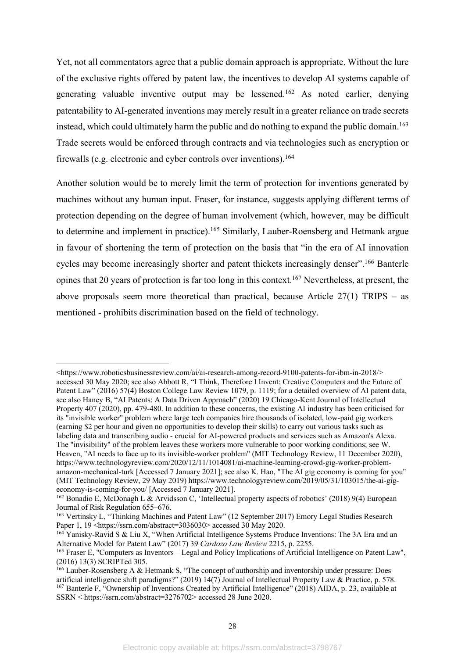Yet, not all commentators agree that a public domain approach is appropriate. Without the lure of the exclusive rights offered by patent law, the incentives to develop AI systems capable of generating valuable inventive output may be lessened.162 As noted earlier, denying patentability to AI-generated inventions may merely result in a greater reliance on trade secrets instead, which could ultimately harm the public and do nothing to expand the public domain. 163 Trade secrets would be enforced through contracts and via technologies such as encryption or firewalls (e.g. electronic and cyber controls over inventions).<sup>164</sup>

Another solution would be to merely limit the term of protection for inventions generated by machines without any human input. Fraser, for instance, suggests applying different terms of protection depending on the degree of human involvement (which, however, may be difficult to determine and implement in practice).<sup>165</sup> Similarly, Lauber-Roensberg and Hetmank argue in favour of shortening the term of protection on the basis that "in the era of AI innovation cycles may become increasingly shorter and patent thickets increasingly denser".<sup>166</sup> Banterle opines that 20 years of protection is far too long in this context. <sup>167</sup> Nevertheless, at present, the above proposals seem more theoretical than practical, because Article 27(1) TRIPS – as mentioned - prohibits discrimination based on the field of technology.

<sup>&</sup>lt;https://www.roboticsbusinessreview.com/ai/ai-research-among-record-9100-patents-for-ibm-in-2018/> accessed 30 May 2020; see also Abbott R, "I Think, Therefore I Invent: Creative Computers and the Future of Patent Law" (2016) 57(4) Boston College Law Review 1079, p. 1119; for a detailed overview of AI patent data, see also Haney B, "AI Patents: A Data Driven Approach" (2020) 19 Chicago-Kent Journal of Intellectual Property 407 (2020), pp. 479-480. In addition to these concerns, the existing AI industry has been criticised for its "invisible worker" problem where large tech companies hire thousands of isolated, low-paid gig workers (earning \$2 per hour and given no opportunities to develop their skills) to carry out various tasks such as labeling data and transcribing audio - crucial for AI-powered products and services such as Amazon's Alexa. The "invisibility" of the problem leaves these workers more vulnerable to poor working conditions; see W. Heaven, "AI needs to face up to its invisible-worker problem" (MIT Technology Review, 11 December 2020), https://www.technologyreview.com/2020/12/11/1014081/ai-machine-learning-crowd-gig-worker-problemamazon-mechanical-turk [Accessed 7 January 2021]; see also K. Hao, "The AI gig economy is coming for you" (MIT Technology Review, 29 May 2019) https://www.technologyreview.com/2019/05/31/103015/the-ai-gigeconomy-is-coming-for-you/ [Accessed 7 January 2021].

<sup>162</sup> Bonadio E, McDonagh L & Arvidsson C, 'Intellectual property aspects of robotics' (2018) 9(4) European Journal of Risk Regulation 655–676.

<sup>&</sup>lt;sup>163</sup> Vertinsky L, "Thinking Machines and Patent Law" (12 September 2017) Emory Legal Studies Research Paper 1, 19 <https://ssrn.com/abstract=3036030> accessed 30 May 2020.

<sup>&</sup>lt;sup>164</sup> Yanisky-Ravid S & Liu X, "When Artificial Intelligence Systems Produce Inventions: The 3A Era and an Alternative Model for Patent Law" (2017) 39 *Cardozo Law Review* 2215, p. 2255.

<sup>165</sup> Fraser E, "Computers as Inventors – Legal and Policy Implications of Artificial Intelligence on Patent Law", (2016) 13(3) SCRIPTed 305.

 $166$  Lauber-Rosensberg A & Hetmank S, "The concept of authorship and inventorship under pressure: Does artificial intelligence shift paradigms?" (2019) 14(7) Journal of Intellectual Property Law & Practice, p. 578. <sup>167</sup> Banterle F, "Ownership of Inventions Created by Artificial Intelligence" (2018) AIDA, p. 23, available at SSRN < https://ssrn.com/abstract=3276702> accessed 28 June 2020.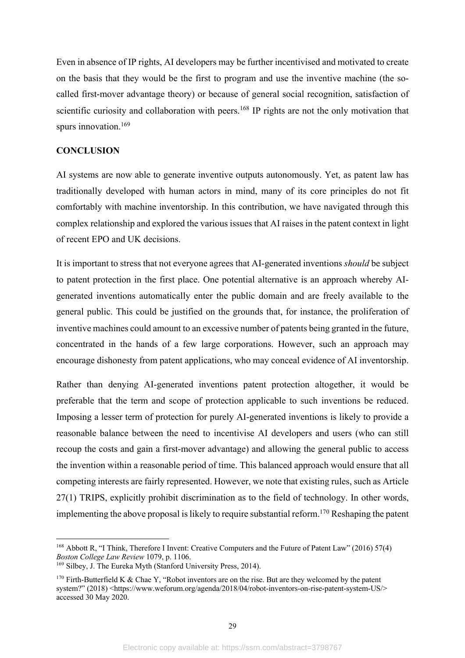Even in absence of IP rights, AI developers may be further incentivised and motivated to create on the basis that they would be the first to program and use the inventive machine (the socalled first-mover advantage theory) or because of general social recognition, satisfaction of scientific curiosity and collaboration with peers.<sup>168</sup> IP rights are not the only motivation that spurs innovation.<sup>169</sup>

### **CONCLUSION**

AI systems are now able to generate inventive outputs autonomously. Yet, as patent law has traditionally developed with human actors in mind, many of its core principles do not fit comfortably with machine inventorship. In this contribution, we have navigated through this complex relationship and explored the various issues that AI raises in the patent context in light of recent EPO and UK decisions.

It is important to stress that not everyone agrees that AI-generated inventions *should* be subject to patent protection in the first place. One potential alternative is an approach whereby AIgenerated inventions automatically enter the public domain and are freely available to the general public. This could be justified on the grounds that, for instance, the proliferation of inventive machines could amount to an excessive number of patents being granted in the future, concentrated in the hands of a few large corporations. However, such an approach may encourage dishonesty from patent applications, who may conceal evidence of AI inventorship.

Rather than denying AI-generated inventions patent protection altogether, it would be preferable that the term and scope of protection applicable to such inventions be reduced. Imposing a lesser term of protection for purely AI-generated inventions is likely to provide a reasonable balance between the need to incentivise AI developers and users (who can still recoup the costs and gain a first-mover advantage) and allowing the general public to access the invention within a reasonable period of time. This balanced approach would ensure that all competing interests are fairly represented. However, we note that existing rules, such as Article 27(1) TRIPS, explicitly prohibit discrimination as to the field of technology. In other words, implementing the above proposal is likely to require substantial reform.170 Reshaping the patent

<sup>168</sup> Abbott R, "I Think, Therefore I Invent: Creative Computers and the Future of Patent Law" (2016) 57(4) *Boston College Law Review* 1079, p. 1106.

<sup>169</sup> Silbey, J. The Eureka Myth (Stanford University Press, 2014).

<sup>&</sup>lt;sup>170</sup> Firth-Butterfield K & Chae Y, "Robot inventors are on the rise. But are they welcomed by the patent system?" (2018) <https://www.weforum.org/agenda/2018/04/robot-inventors-on-rise-patent-system-US/> accessed 30 May 2020.